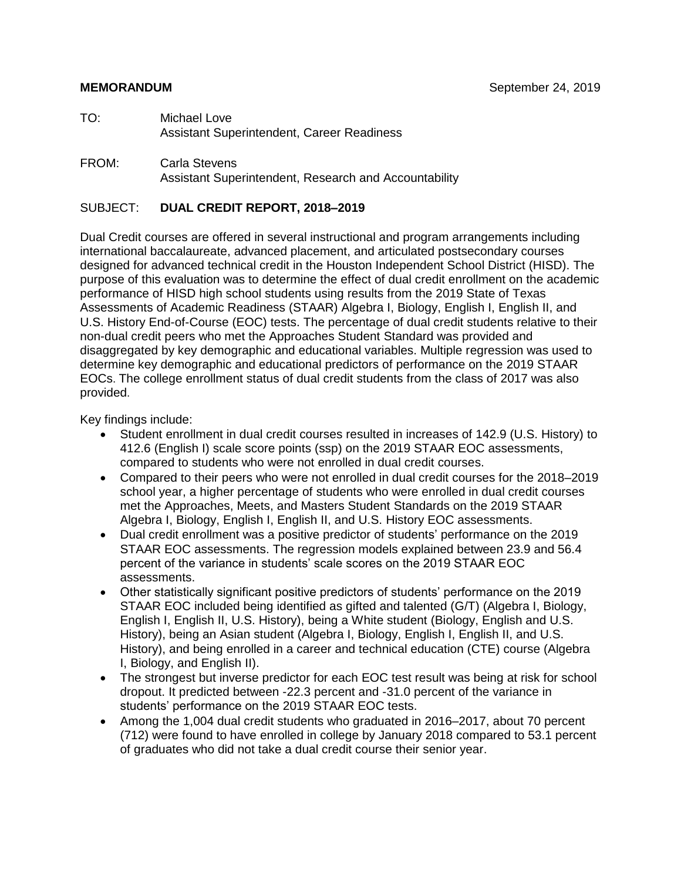#### **MEMORANDUM** September 24, 2019

- TO: Michael Love Assistant Superintendent, Career Readiness
- FROM: Carla Stevens Assistant Superintendent, Research and Accountability

#### SUBJECT: **DUAL CREDIT REPORT, 2018–2019**

Dual Credit courses are offered in several instructional and program arrangements including international baccalaureate, advanced placement, and articulated postsecondary courses designed for advanced technical credit in the Houston Independent School District (HISD). The purpose of this evaluation was to determine the effect of dual credit enrollment on the academic performance of HISD high school students using results from the 2019 State of Texas Assessments of Academic Readiness (STAAR) Algebra I, Biology, English I, English II, and U.S. History End-of-Course (EOC) tests. The percentage of dual credit students relative to their non-dual credit peers who met the Approaches Student Standard was provided and disaggregated by key demographic and educational variables. Multiple regression was used to determine key demographic and educational predictors of performance on the 2019 STAAR EOCs. The college enrollment status of dual credit students from the class of 2017 was also provided.

Key findings include:

- Student enrollment in dual credit courses resulted in increases of 142.9 (U.S. History) to 412.6 (English I) scale score points (ssp) on the 2019 STAAR EOC assessments, compared to students who were not enrolled in dual credit courses.
- Compared to their peers who were not enrolled in dual credit courses for the 2018–2019 school year, a higher percentage of students who were enrolled in dual credit courses met the Approaches, Meets, and Masters Student Standards on the 2019 STAAR Algebra I, Biology, English I, English II, and U.S. History EOC assessments.
- Dual credit enrollment was a positive predictor of students' performance on the 2019 STAAR EOC assessments. The regression models explained between 23.9 and 56.4 percent of the variance in students' scale scores on the 2019 STAAR EOC assessments.
- Other statistically significant positive predictors of students' performance on the 2019 STAAR EOC included being identified as gifted and talented (G/T) (Algebra I, Biology, English I, English II, U.S. History), being a White student (Biology, English and U.S. History), being an Asian student (Algebra I, Biology, English I, English II, and U.S. History), and being enrolled in a career and technical education (CTE) course (Algebra I, Biology, and English II).
- The strongest but inverse predictor for each EOC test result was being at risk for school dropout. It predicted between -22.3 percent and -31.0 percent of the variance in students' performance on the 2019 STAAR EOC tests.
- Among the 1,004 dual credit students who graduated in 2016–2017, about 70 percent (712) were found to have enrolled in college by January 2018 compared to 53.1 percent of graduates who did not take a dual credit course their senior year.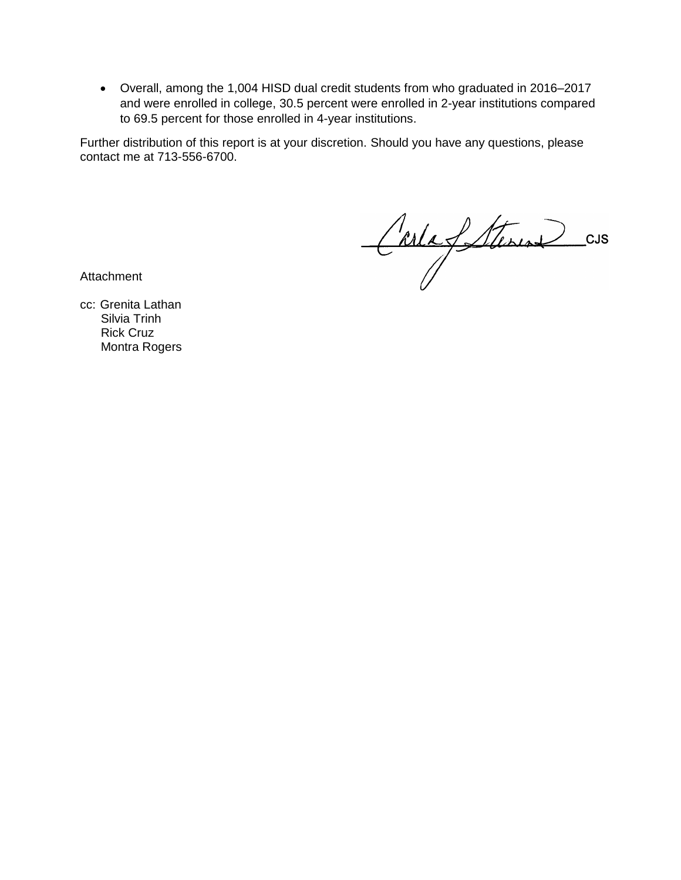• Overall, among the 1,004 HISD dual credit students from who graduated in 2016–2017 and were enrolled in college, 30.5 percent were enrolled in 2-year institutions compared to 69.5 percent for those enrolled in 4-year institutions.

Further distribution of this report is at your discretion. Should you have any questions, please contact me at 713-556-6700.

Carla Steven cus

**Attachment** 

cc: Grenita Lathan Silvia Trinh Rick Cruz Montra Rogers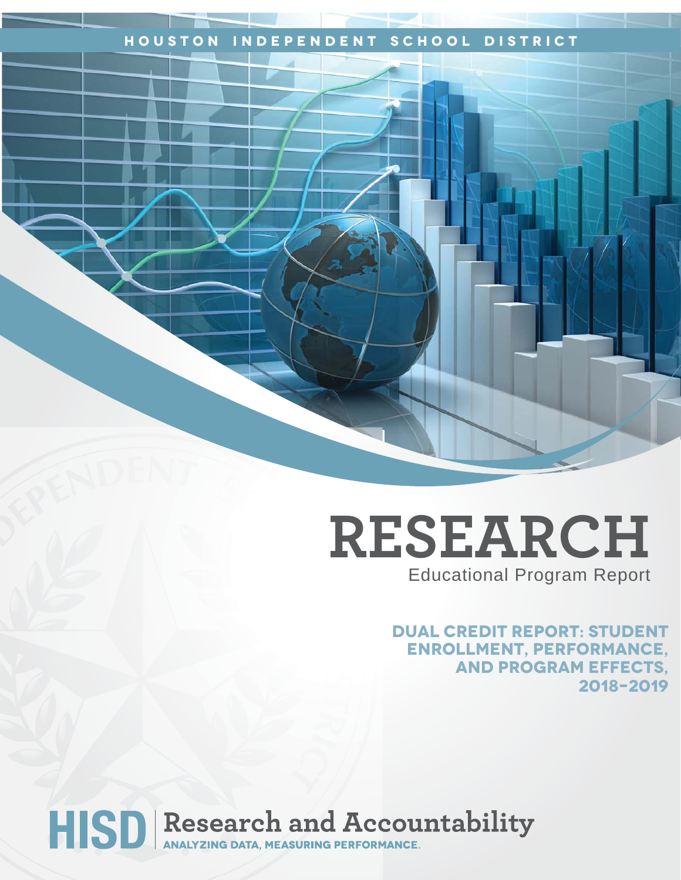## **Houston Independent School District**

## **RESEARCH** Educational Program Report

**Dual Credit Report: Student Enrollment, Performance, and Program Effects, 2018–2019**

# HISD Research and Accountability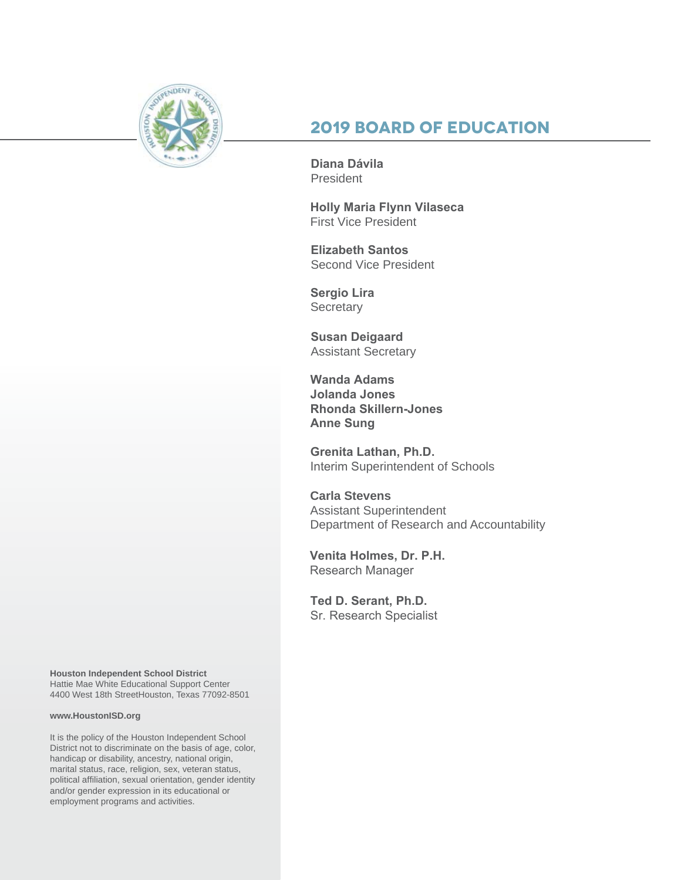

## **2019 Board of Education**

**Diana Dávila**  President

**Holly Maria Flynn Vilaseca** First Vice President

**Elizabeth Santos**  Second Vice President

**Sergio Lira Secretary** 

**Susan Deigaard** Assistant Secretary

**Wanda Adams Jolanda Jones Rhonda Skillern-Jones Anne Sung**

**Grenita Lathan, Ph.D.**  Interim Superintendent of Schools

**Carla Stevens** Assistant Superintendent Department of Research and Accountability

**Venita Holmes, Dr. P.H.** Research Manager

**Ted D. Serant, Ph.D.** Sr. Research Specialist

**Houston Independent School District** Hattie Mae White Educational Support Center 4400 West 18th StreetHouston, Texas 77092-8501

#### **www.HoustonISD.org**

It is the policy of the Houston Independent School District not to discriminate on the basis of age, color, handicap or disability, ancestry, national origin, marital status, race, religion, sex, veteran status, political affiliation, sexual orientation, gender identity and/or gender expression in its educational or employment programs and activities.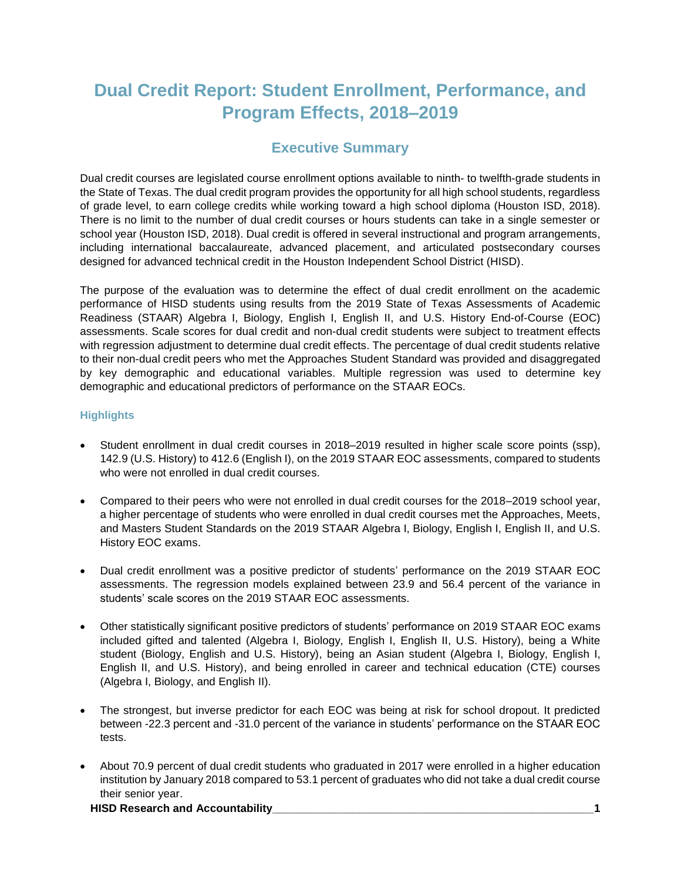## **Dual Credit Report: Student Enrollment, Performance, and Program Effects, 2018–2019**

## **Executive Summary**

Dual credit courses are legislated course enrollment options available to ninth- to twelfth-grade students in the State of Texas. The dual credit program provides the opportunity for all high school students, regardless of grade level, to earn college credits while working toward a high school diploma (Houston ISD, 2018). There is no limit to the number of dual credit courses or hours students can take in a single semester or school year (Houston ISD, 2018). Dual credit is offered in several instructional and program arrangements, including international baccalaureate, advanced placement, and articulated postsecondary courses designed for advanced technical credit in the Houston Independent School District (HISD).

The purpose of the evaluation was to determine the effect of dual credit enrollment on the academic performance of HISD students using results from the 2019 State of Texas Assessments of Academic Readiness (STAAR) Algebra I, Biology, English I, English II, and U.S. History End-of-Course (EOC) assessments. Scale scores for dual credit and non-dual credit students were subject to treatment effects with regression adjustment to determine dual credit effects. The percentage of dual credit students relative to their non-dual credit peers who met the Approaches Student Standard was provided and disaggregated by key demographic and educational variables. Multiple regression was used to determine key demographic and educational predictors of performance on the STAAR EOCs.

#### **Highlights**

- Student enrollment in dual credit courses in 2018–2019 resulted in higher scale score points (ssp), 142.9 (U.S. History) to 412.6 (English I), on the 2019 STAAR EOC assessments, compared to students who were not enrolled in dual credit courses.
- Compared to their peers who were not enrolled in dual credit courses for the 2018–2019 school year, a higher percentage of students who were enrolled in dual credit courses met the Approaches, Meets, and Masters Student Standards on the 2019 STAAR Algebra I, Biology, English I, English II, and U.S. History EOC exams.
- Dual credit enrollment was a positive predictor of students' performance on the 2019 STAAR EOC assessments. The regression models explained between 23.9 and 56.4 percent of the variance in students' scale scores on the 2019 STAAR EOC assessments.
- Other statistically significant positive predictors of students' performance on 2019 STAAR EOC exams included gifted and talented (Algebra I, Biology, English I, English II, U.S. History), being a White student (Biology, English and U.S. History), being an Asian student (Algebra I, Biology, English I, English II, and U.S. History), and being enrolled in career and technical education (CTE) courses (Algebra I, Biology, and English II).
- The strongest, but inverse predictor for each EOC was being at risk for school dropout. It predicted between -22.3 percent and -31.0 percent of the variance in students' performance on the STAAR EOC tests.
- About 70.9 percent of dual credit students who graduated in 2017 were enrolled in a higher education institution by January 2018 compared to 53.1 percent of graduates who did not take a dual credit course their senior year.

#### **HISD Research and Accountability\_\_\_\_\_\_\_\_\_\_\_\_\_\_\_\_\_\_\_\_\_\_\_\_\_\_\_\_\_\_\_\_\_\_\_\_\_\_\_\_\_\_\_\_\_\_\_\_\_\_\_\_1**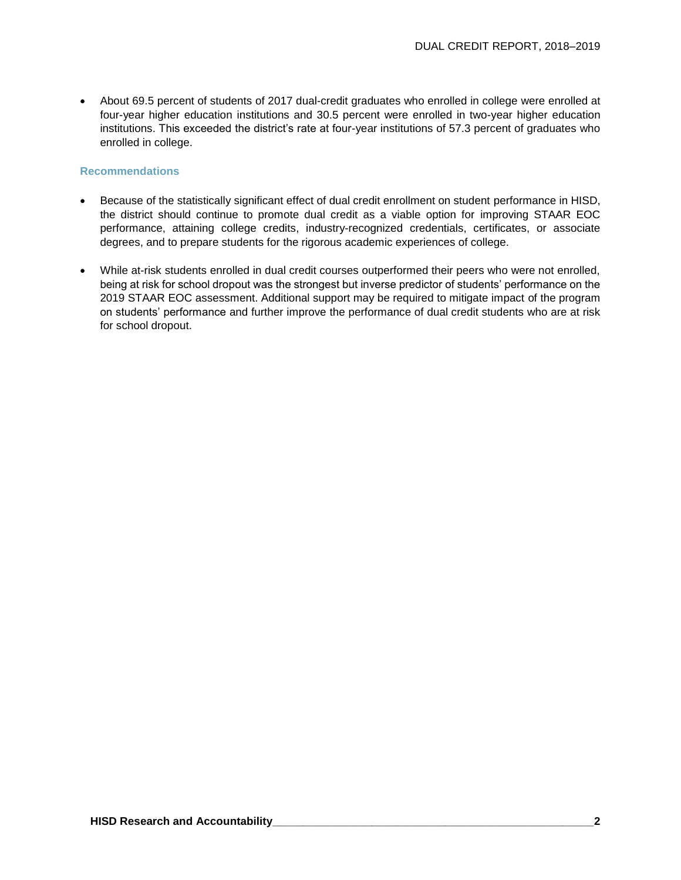• About 69.5 percent of students of 2017 dual-credit graduates who enrolled in college were enrolled at four-year higher education institutions and 30.5 percent were enrolled in two-year higher education institutions. This exceeded the district's rate at four-year institutions of 57.3 percent of graduates who enrolled in college.

#### **Recommendations**

- Because of the statistically significant effect of dual credit enrollment on student performance in HISD, the district should continue to promote dual credit as a viable option for improving STAAR EOC performance, attaining college credits, industry-recognized credentials, certificates, or associate degrees, and to prepare students for the rigorous academic experiences of college.
- While at-risk students enrolled in dual credit courses outperformed their peers who were not enrolled, being at risk for school dropout was the strongest but inverse predictor of students' performance on the 2019 STAAR EOC assessment. Additional support may be required to mitigate impact of the program on students' performance and further improve the performance of dual credit students who are at risk for school dropout.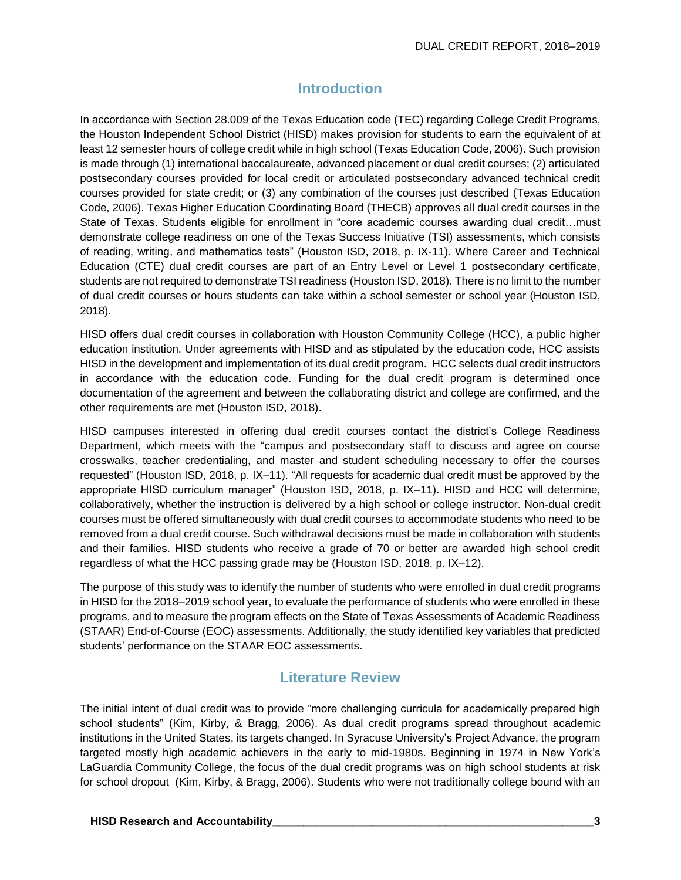## **Introduction**

In accordance with Section 28.009 of the Texas Education code (TEC) regarding College Credit Programs, the Houston Independent School District (HISD) makes provision for students to earn the equivalent of at least 12 semester hours of college credit while in high school (Texas Education Code, 2006). Such provision is made through (1) international baccalaureate, advanced placement or dual credit courses; (2) articulated postsecondary courses provided for local credit or articulated postsecondary advanced technical credit courses provided for state credit; or (3) any combination of the courses just described (Texas Education Code, 2006). Texas Higher Education Coordinating Board (THECB) approves all dual credit courses in the State of Texas. Students eligible for enrollment in "core academic courses awarding dual credit…must demonstrate college readiness on one of the Texas Success Initiative (TSI) assessments, which consists of reading, writing, and mathematics tests" (Houston ISD, 2018, p. IX-11). Where Career and Technical Education (CTE) dual credit courses are part of an Entry Level or Level 1 postsecondary certificate, students are not required to demonstrate TSI readiness (Houston ISD, 2018). There is no limit to the number of dual credit courses or hours students can take within a school semester or school year (Houston ISD, 2018).

HISD offers dual credit courses in collaboration with Houston Community College (HCC), a public higher education institution. Under agreements with HISD and as stipulated by the education code, HCC assists HISD in the development and implementation of its dual credit program. HCC selects dual credit instructors in accordance with the education code. Funding for the dual credit program is determined once documentation of the agreement and between the collaborating district and college are confirmed, and the other requirements are met (Houston ISD, 2018).

HISD campuses interested in offering dual credit courses contact the district's College Readiness Department, which meets with the "campus and postsecondary staff to discuss and agree on course crosswalks, teacher credentialing, and master and student scheduling necessary to offer the courses requested" (Houston ISD, 2018, p. IX–11). "All requests for academic dual credit must be approved by the appropriate HISD curriculum manager" (Houston ISD, 2018, p. IX–11). HISD and HCC will determine, collaboratively, whether the instruction is delivered by a high school or college instructor. Non-dual credit courses must be offered simultaneously with dual credit courses to accommodate students who need to be removed from a dual credit course. Such withdrawal decisions must be made in collaboration with students and their families. HISD students who receive a grade of 70 or better are awarded high school credit regardless of what the HCC passing grade may be (Houston ISD, 2018, p. IX–12).

The purpose of this study was to identify the number of students who were enrolled in dual credit programs in HISD for the 2018–2019 school year, to evaluate the performance of students who were enrolled in these programs, and to measure the program effects on the State of Texas Assessments of Academic Readiness (STAAR) End-of-Course (EOC) assessments. Additionally, the study identified key variables that predicted students' performance on the STAAR EOC assessments.

## **Literature Review**

The initial intent of dual credit was to provide "more challenging curricula for academically prepared high school students" (Kim, Kirby, & Bragg, 2006). As dual credit programs spread throughout academic institutions in the United States, its targets changed. In Syracuse University's Project Advance, the program targeted mostly high academic achievers in the early to mid-1980s. Beginning in 1974 in New York's LaGuardia Community College, the focus of the dual credit programs was on high school students at risk for school dropout (Kim, Kirby, & Bragg, 2006). Students who were not traditionally college bound with an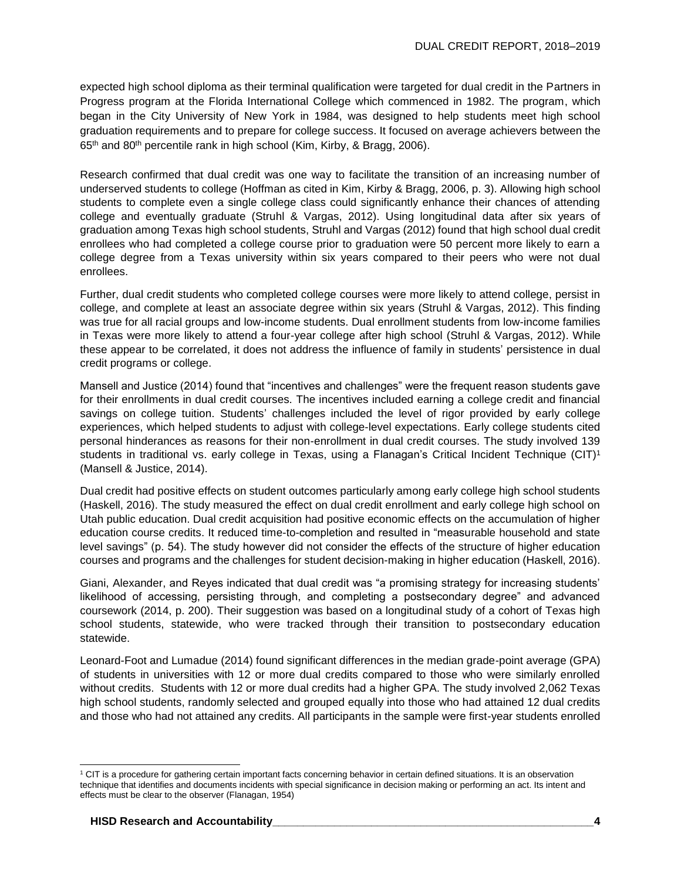expected high school diploma as their terminal qualification were targeted for dual credit in the Partners in Progress program at the Florida International College which commenced in 1982. The program, which began in the City University of New York in 1984, was designed to help students meet high school graduation requirements and to prepare for college success. It focused on average achievers between the 65<sup>th</sup> and 80<sup>th</sup> percentile rank in high school (Kim, Kirby, & Bragg, 2006).

Research confirmed that dual credit was one way to facilitate the transition of an increasing number of underserved students to college (Hoffman as cited in Kim, Kirby & Bragg, 2006, p. 3). Allowing high school students to complete even a single college class could significantly enhance their chances of attending college and eventually graduate (Struhl & Vargas, 2012). Using longitudinal data after six years of graduation among Texas high school students, Struhl and Vargas (2012) found that high school dual credit enrollees who had completed a college course prior to graduation were 50 percent more likely to earn a college degree from a Texas university within six years compared to their peers who were not dual enrollees.

Further, dual credit students who completed college courses were more likely to attend college, persist in college, and complete at least an associate degree within six years (Struhl & Vargas, 2012). This finding was true for all racial groups and low-income students. Dual enrollment students from low-income families in Texas were more likely to attend a four-year college after high school (Struhl & Vargas, 2012). While these appear to be correlated, it does not address the influence of family in students' persistence in dual credit programs or college.

Mansell and Justice (2014) found that "incentives and challenges" were the frequent reason students gave for their enrollments in dual credit courses. The incentives included earning a college credit and financial savings on college tuition. Students' challenges included the level of rigor provided by early college experiences, which helped students to adjust with college-level expectations. Early college students cited personal hinderances as reasons for their non-enrollment in dual credit courses. The study involved 139 students in traditional vs. early college in Texas, using a Flanagan's Critical Incident Technique (CIT)<sup>1</sup> (Mansell & Justice, 2014).

Dual credit had positive effects on student outcomes particularly among early college high school students (Haskell, 2016). The study measured the effect on dual credit enrollment and early college high school on Utah public education. Dual credit acquisition had positive economic effects on the accumulation of higher education course credits. It reduced time-to-completion and resulted in "measurable household and state level savings" (p. 54). The study however did not consider the effects of the structure of higher education courses and programs and the challenges for student decision-making in higher education (Haskell, 2016).

Giani, Alexander, and Reyes indicated that dual credit was "a promising strategy for increasing students' likelihood of accessing, persisting through, and completing a postsecondary degree" and advanced coursework (2014, p. 200). Their suggestion was based on a longitudinal study of a cohort of Texas high school students, statewide, who were tracked through their transition to postsecondary education statewide.

Leonard-Foot and Lumadue (2014) found significant differences in the median grade-point average (GPA) of students in universities with 12 or more dual credits compared to those who were similarly enrolled without credits. Students with 12 or more dual credits had a higher GPA. The study involved 2,062 Texas high school students, randomly selected and grouped equally into those who had attained 12 dual credits and those who had not attained any credits. All participants in the sample were first-year students enrolled

l

<sup>&</sup>lt;sup>1</sup> CIT is a procedure for gathering certain important facts concerning behavior in certain defined situations. It is an observation technique that identifies and documents incidents with special significance in decision making or performing an act. Its intent and effects must be clear to the observer (Flanagan, 1954)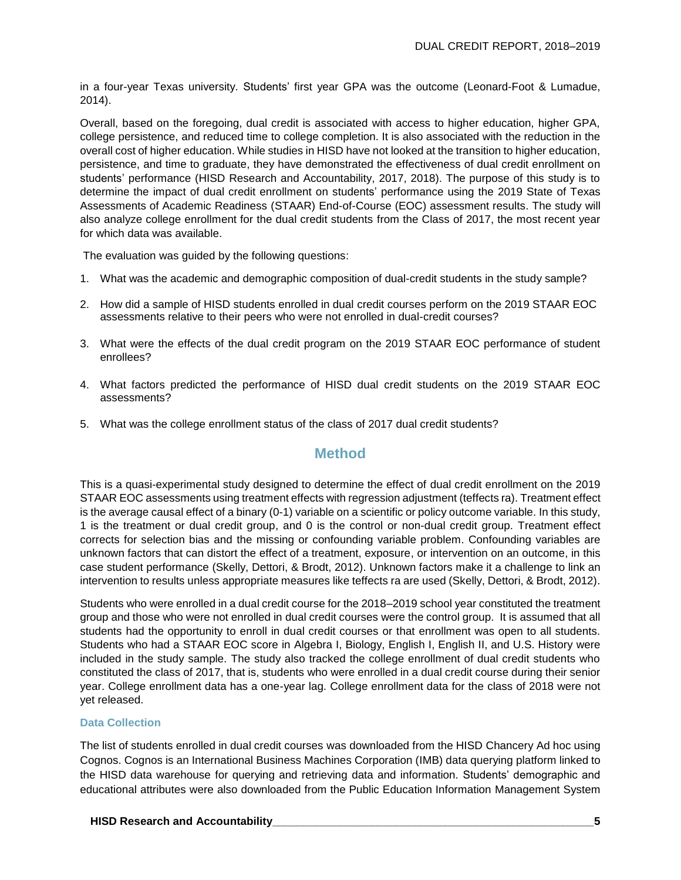in a four-year Texas university. Students' first year GPA was the outcome (Leonard-Foot & Lumadue, 2014).

Overall, based on the foregoing, dual credit is associated with access to higher education, higher GPA, college persistence, and reduced time to college completion. It is also associated with the reduction in the overall cost of higher education. While studies in HISD have not looked at the transition to higher education, persistence, and time to graduate, they have demonstrated the effectiveness of dual credit enrollment on students' performance (HISD Research and Accountability, 2017, 2018). The purpose of this study is to determine the impact of dual credit enrollment on students' performance using the 2019 State of Texas Assessments of Academic Readiness (STAAR) End-of-Course (EOC) assessment results. The study will also analyze college enrollment for the dual credit students from the Class of 2017, the most recent year for which data was available.

The evaluation was guided by the following questions:

- 1. What was the academic and demographic composition of dual-credit students in the study sample?
- 2. How did a sample of HISD students enrolled in dual credit courses perform on the 2019 STAAR EOC assessments relative to their peers who were not enrolled in dual-credit courses?
- 3. What were the effects of the dual credit program on the 2019 STAAR EOC performance of student enrollees?
- 4. What factors predicted the performance of HISD dual credit students on the 2019 STAAR EOC assessments?
- 5. What was the college enrollment status of the class of 2017 dual credit students?

### **Method**

This is a quasi-experimental study designed to determine the effect of dual credit enrollment on the 2019 STAAR EOC assessments using treatment effects with regression adjustment (teffects ra). Treatment effect is the average causal effect of a binary (0-1) variable on a scientific or policy outcome variable. In this study, 1 is the treatment or dual credit group, and 0 is the control or non-dual credit group. Treatment effect corrects for selection bias and the missing or confounding variable problem. Confounding variables are unknown factors that can distort the effect of a treatment, exposure, or intervention on an outcome, in this case student performance (Skelly, Dettori, & Brodt, 2012). Unknown factors make it a challenge to link an intervention to results unless appropriate measures like teffects ra are used (Skelly, Dettori, & Brodt, 2012).

Students who were enrolled in a dual credit course for the 2018–2019 school year constituted the treatment group and those who were not enrolled in dual credit courses were the control group. It is assumed that all students had the opportunity to enroll in dual credit courses or that enrollment was open to all students. Students who had a STAAR EOC score in Algebra I, Biology, English I, English II, and U.S. History were included in the study sample. The study also tracked the college enrollment of dual credit students who constituted the class of 2017, that is, students who were enrolled in a dual credit course during their senior year. College enrollment data has a one-year lag. College enrollment data for the class of 2018 were not yet released.

#### **Data Collection**

The list of students enrolled in dual credit courses was downloaded from the HISD Chancery Ad hoc using Cognos. Cognos is an International Business Machines Corporation (IMB) data querying platform linked to the HISD data warehouse for querying and retrieving data and information. Students' demographic and educational attributes were also downloaded from the Public Education Information Management System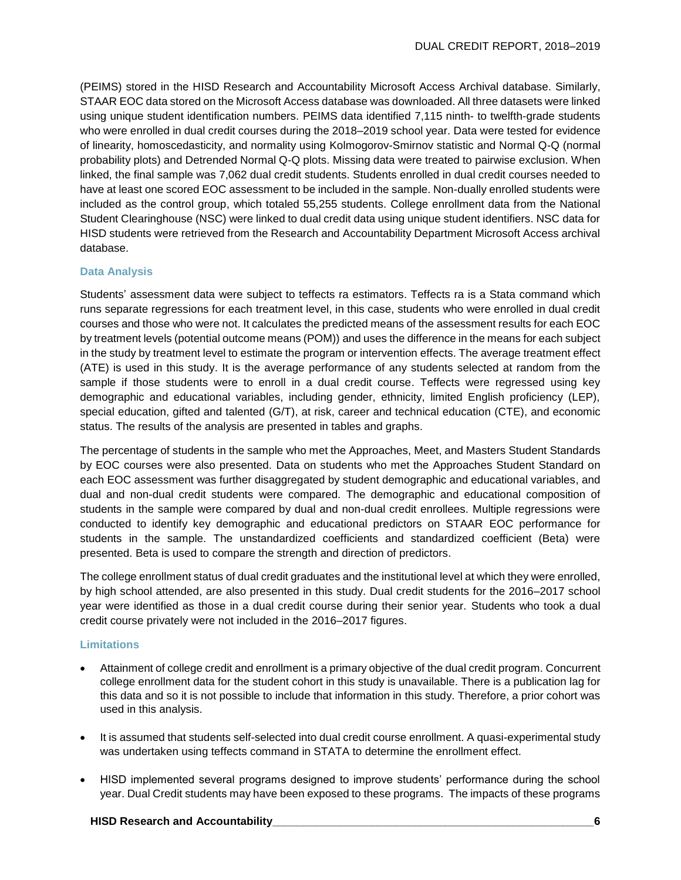(PEIMS) stored in the HISD Research and Accountability Microsoft Access Archival database. Similarly, STAAR EOC data stored on the Microsoft Access database was downloaded. All three datasets were linked using unique student identification numbers. PEIMS data identified 7,115 ninth- to twelfth-grade students who were enrolled in dual credit courses during the 2018–2019 school year. Data were tested for evidence of linearity, homoscedasticity, and normality using Kolmogorov-Smirnov statistic and Normal Q-Q (normal probability plots) and Detrended Normal Q-Q plots. Missing data were treated to pairwise exclusion. When linked, the final sample was 7,062 dual credit students. Students enrolled in dual credit courses needed to have at least one scored EOC assessment to be included in the sample. Non-dually enrolled students were included as the control group, which totaled 55,255 students. College enrollment data from the National Student Clearinghouse (NSC) were linked to dual credit data using unique student identifiers. NSC data for HISD students were retrieved from the Research and Accountability Department Microsoft Access archival database.

#### **Data Analysis**

Students' assessment data were subject to teffects ra estimators. Teffects ra is a Stata command which runs separate regressions for each treatment level, in this case, students who were enrolled in dual credit courses and those who were not. It calculates the predicted means of the assessment results for each EOC by treatment levels (potential outcome means (POM)) and uses the difference in the means for each subject in the study by treatment level to estimate the program or intervention effects. The average treatment effect (ATE) is used in this study. It is the average performance of any students selected at random from the sample if those students were to enroll in a dual credit course. Teffects were regressed using key demographic and educational variables, including gender, ethnicity, limited English proficiency (LEP), special education, gifted and talented (G/T), at risk, career and technical education (CTE), and economic status. The results of the analysis are presented in tables and graphs.

The percentage of students in the sample who met the Approaches, Meet, and Masters Student Standards by EOC courses were also presented. Data on students who met the Approaches Student Standard on each EOC assessment was further disaggregated by student demographic and educational variables, and dual and non-dual credit students were compared. The demographic and educational composition of students in the sample were compared by dual and non-dual credit enrollees. Multiple regressions were conducted to identify key demographic and educational predictors on STAAR EOC performance for students in the sample. The unstandardized coefficients and standardized coefficient (Beta) were presented. Beta is used to compare the strength and direction of predictors.

The college enrollment status of dual credit graduates and the institutional level at which they were enrolled, by high school attended, are also presented in this study. Dual credit students for the 2016–2017 school year were identified as those in a dual credit course during their senior year. Students who took a dual credit course privately were not included in the 2016–2017 figures.

#### **Limitations**

- Attainment of college credit and enrollment is a primary objective of the dual credit program. Concurrent college enrollment data for the student cohort in this study is unavailable. There is a publication lag for this data and so it is not possible to include that information in this study. Therefore, a prior cohort was used in this analysis.
- It is assumed that students self-selected into dual credit course enrollment. A quasi-experimental study was undertaken using teffects command in STATA to determine the enrollment effect.
- HISD implemented several programs designed to improve students' performance during the school year. Dual Credit students may have been exposed to these programs. The impacts of these programs

#### **HISD Research and Accountability\_\_\_\_\_\_\_\_\_\_\_\_\_\_\_\_\_\_\_\_\_\_\_\_\_\_\_\_\_\_\_\_\_\_\_\_\_\_\_\_\_\_\_\_\_\_\_\_\_\_\_\_6**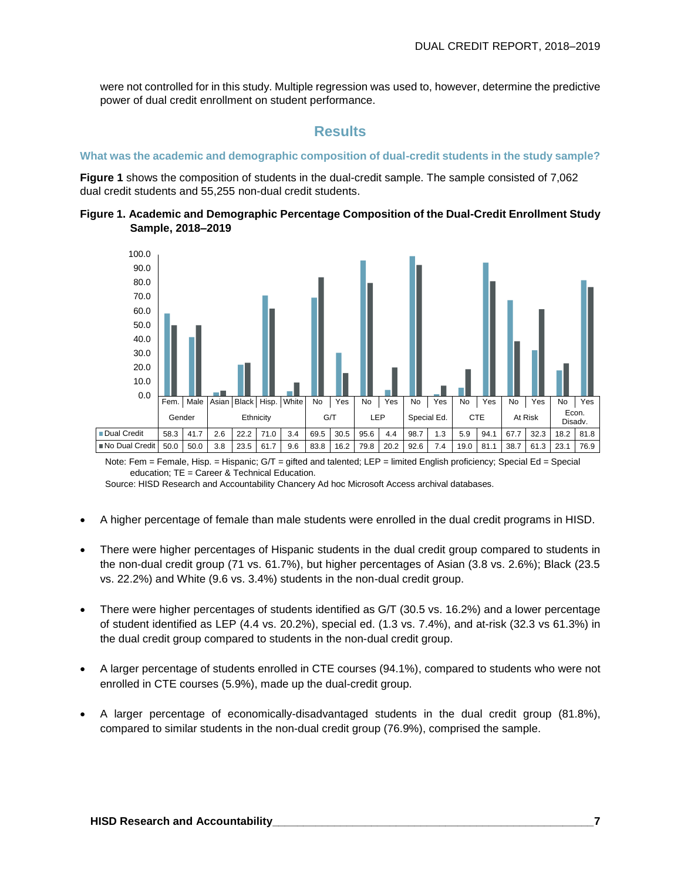were not controlled for in this study. Multiple regression was used to, however, determine the predictive power of dual credit enrollment on student performance.

#### **Results**

#### **What was the academic and demographic composition of dual-credit students in the study sample?**

**Figure 1** shows the composition of students in the dual-credit sample. The sample consisted of 7,062 dual credit students and 55,255 non-dual credit students.





Note: Fem = Female, Hisp. = Hispanic; G/T = gifted and talented; LEP = limited English proficiency; Special Ed = Special education; TE = Career & Technical Education.

Source: HISD Research and Accountability Chancery Ad hoc Microsoft Access archival databases.

- A higher percentage of female than male students were enrolled in the dual credit programs in HISD.
- There were higher percentages of Hispanic students in the dual credit group compared to students in the non-dual credit group (71 vs. 61.7%), but higher percentages of Asian (3.8 vs. 2.6%); Black (23.5 vs. 22.2%) and White (9.6 vs. 3.4%) students in the non-dual credit group.
- There were higher percentages of students identified as G/T (30.5 vs. 16.2%) and a lower percentage of student identified as LEP (4.4 vs. 20.2%), special ed. (1.3 vs. 7.4%), and at-risk (32.3 vs 61.3%) in the dual credit group compared to students in the non-dual credit group.
- A larger percentage of students enrolled in CTE courses (94.1%), compared to students who were not enrolled in CTE courses (5.9%), made up the dual-credit group.
- A larger percentage of economically-disadvantaged students in the dual credit group (81.8%), compared to similar students in the non-dual credit group (76.9%), comprised the sample.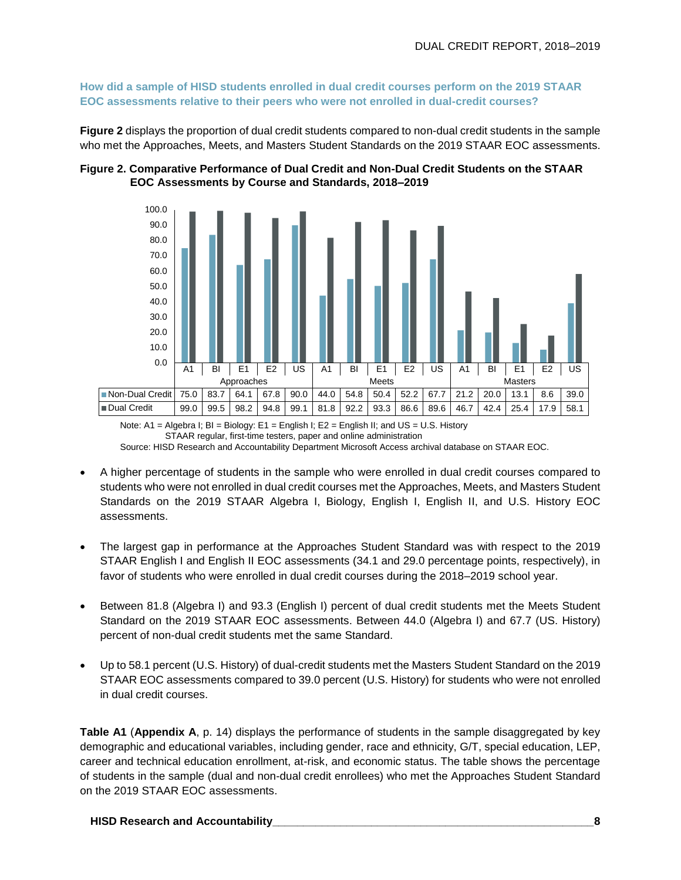**How did a sample of HISD students enrolled in dual credit courses perform on the 2019 STAAR EOC assessments relative to their peers who were not enrolled in dual-credit courses?**

**Figure 2** displays the proportion of dual credit students compared to non-dual credit students in the sample who met the Approaches, Meets, and Masters Student Standards on the 2019 STAAR EOC assessments.





Note: A1 = Algebra I; BI = Biology: E1 = English I; E2 = English II; and US = U.S. History STAAR regular, first-time testers, paper and online administration

Source: HISD Research and Accountability Department Microsoft Access archival database on STAAR EOC.

- A higher percentage of students in the sample who were enrolled in dual credit courses compared to students who were not enrolled in dual credit courses met the Approaches, Meets, and Masters Student Standards on the 2019 STAAR Algebra I, Biology, English I, English II, and U.S. History EOC assessments.
- The largest gap in performance at the Approaches Student Standard was with respect to the 2019 STAAR English I and English II EOC assessments (34.1 and 29.0 percentage points, respectively), in favor of students who were enrolled in dual credit courses during the 2018–2019 school year.
- Between 81.8 (Algebra I) and 93.3 (English I) percent of dual credit students met the Meets Student Standard on the 2019 STAAR EOC assessments. Between 44.0 (Algebra I) and 67.7 (US. History) percent of non-dual credit students met the same Standard.
- Up to 58.1 percent (U.S. History) of dual-credit students met the Masters Student Standard on the 2019 STAAR EOC assessments compared to 39.0 percent (U.S. History) for students who were not enrolled in dual credit courses.

**Table A1** (**Appendix A**, p. 14) displays the performance of students in the sample disaggregated by key demographic and educational variables, including gender, race and ethnicity, G/T, special education, LEP, career and technical education enrollment, at-risk, and economic status. The table shows the percentage of students in the sample (dual and non-dual credit enrollees) who met the Approaches Student Standard on the 2019 STAAR EOC assessments.

**HISD Research and Accountability\_\_\_\_\_\_\_\_\_\_\_\_\_\_\_\_\_\_\_\_\_\_\_\_\_\_\_\_\_\_\_\_\_\_\_\_\_\_\_\_\_\_\_\_\_\_\_\_\_\_\_\_8**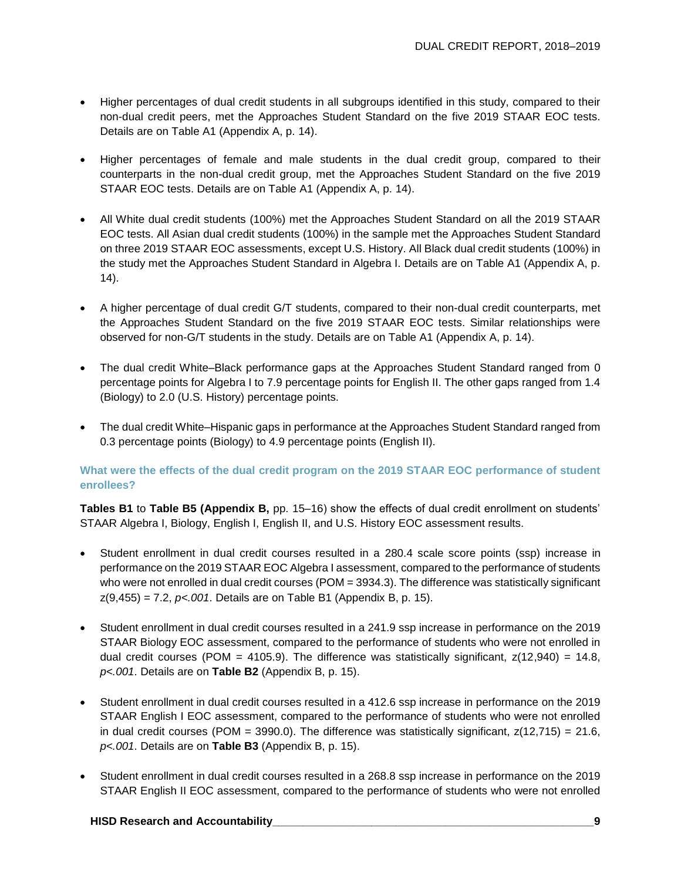- Higher percentages of dual credit students in all subgroups identified in this study, compared to their non-dual credit peers, met the Approaches Student Standard on the five 2019 STAAR EOC tests. Details are on Table A1 (Appendix A, p. 14).
- Higher percentages of female and male students in the dual credit group, compared to their counterparts in the non-dual credit group, met the Approaches Student Standard on the five 2019 STAAR EOC tests. Details are on Table A1 (Appendix A, p. 14).
- All White dual credit students (100%) met the Approaches Student Standard on all the 2019 STAAR EOC tests. All Asian dual credit students (100%) in the sample met the Approaches Student Standard on three 2019 STAAR EOC assessments, except U.S. History. All Black dual credit students (100%) in the study met the Approaches Student Standard in Algebra I. Details are on Table A1 (Appendix A, p. 14).
- A higher percentage of dual credit G/T students, compared to their non-dual credit counterparts, met the Approaches Student Standard on the five 2019 STAAR EOC tests. Similar relationships were observed for non-G/T students in the study. Details are on Table A1 (Appendix A, p. 14).
- The dual credit White–Black performance gaps at the Approaches Student Standard ranged from 0 percentage points for Algebra I to 7.9 percentage points for English II. The other gaps ranged from 1.4 (Biology) to 2.0 (U.S. History) percentage points.
- The dual credit White–Hispanic gaps in performance at the Approaches Student Standard ranged from 0.3 percentage points (Biology) to 4.9 percentage points (English II).

#### **What were the effects of the dual credit program on the 2019 STAAR EOC performance of student enrollees?**

**Tables B1** to **Table B5 (Appendix B,** pp. 15–16) show the effects of dual credit enrollment on students' STAAR Algebra I, Biology, English I, English II, and U.S. History EOC assessment results.

- Student enrollment in dual credit courses resulted in a 280.4 scale score points (ssp) increase in performance on the 2019 STAAR EOC Algebra I assessment, compared to the performance of students who were not enrolled in dual credit courses (POM = 3934.3). The difference was statistically significant z(9,455) = 7.2, *p<.001*. Details are on Table B1 (Appendix B, p. 15).
- Student enrollment in dual credit courses resulted in a 241.9 ssp increase in performance on the 2019 STAAR Biology EOC assessment, compared to the performance of students who were not enrolled in dual credit courses (POM = 4105.9). The difference was statistically significant,  $z(12,940) = 14.8$ , *p<.001*. Details are on **Table B2** (Appendix B, p. 15).
- Student enrollment in dual credit courses resulted in a 412.6 ssp increase in performance on the 2019 STAAR English I EOC assessment, compared to the performance of students who were not enrolled in dual credit courses (POM = 3990.0). The difference was statistically significant,  $z(12,715) = 21.6$ , *p<.001*. Details are on **Table B3** (Appendix B, p. 15).
- Student enrollment in dual credit courses resulted in a 268.8 ssp increase in performance on the 2019 STAAR English II EOC assessment, compared to the performance of students who were not enrolled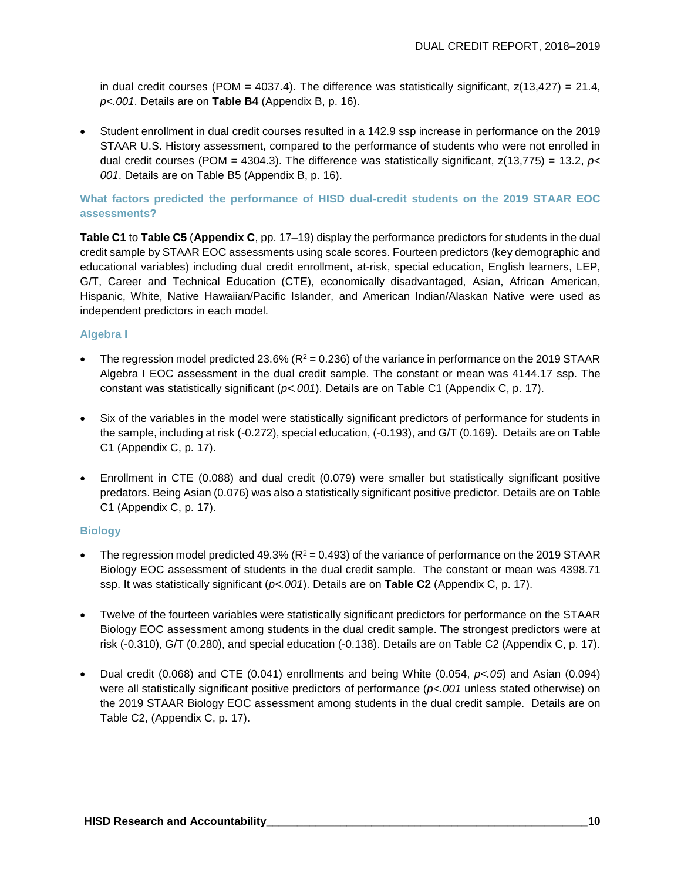in dual credit courses (POM = 4037.4). The difference was statistically significant,  $z(13,427) = 21.4$ , *p<.001*. Details are on **Table B4** (Appendix B, p. 16).

• Student enrollment in dual credit courses resulted in a 142.9 ssp increase in performance on the 2019 STAAR U.S. History assessment, compared to the performance of students who were not enrolled in dual credit courses (POM = 4304.3). The difference was statistically significant, z(13,775) = 13.2, *p< 001*. Details are on Table B5 (Appendix B, p. 16).

#### **What factors predicted the performance of HISD dual-credit students on the 2019 STAAR EOC assessments?**

**Table C1** to **Table C5** (**Appendix C**, pp. 17–19) display the performance predictors for students in the dual credit sample by STAAR EOC assessments using scale scores. Fourteen predictors (key demographic and educational variables) including dual credit enrollment, at-risk, special education, English learners, LEP, G/T, Career and Technical Education (CTE), economically disadvantaged, Asian, African American, Hispanic, White, Native Hawaiian/Pacific Islander, and American Indian/Alaskan Native were used as independent predictors in each model.

#### **Algebra I**

- The regression model predicted 23.6% ( $R^2 = 0.236$ ) of the variance in performance on the 2019 STAAR Algebra I EOC assessment in the dual credit sample. The constant or mean was 4144.17 ssp. The constant was statistically significant (*p<.001*). Details are on Table C1 (Appendix C, p. 17).
- Six of the variables in the model were statistically significant predictors of performance for students in the sample, including at risk (-0.272), special education, (-0.193), and G/T (0.169). Details are on Table C1 (Appendix C, p. 17).
- Enrollment in CTE (0.088) and dual credit (0.079) were smaller but statistically significant positive predators. Being Asian (0.076) was also a statistically significant positive predictor. Details are on Table C1 (Appendix C, p. 17).

#### **Biology**

- The regression model predicted 49.3% ( $R^2 = 0.493$ ) of the variance of performance on the 2019 STAAR Biology EOC assessment of students in the dual credit sample. The constant or mean was 4398.71 ssp. It was statistically significant (*p<.001*). Details are on **Table C2** (Appendix C, p. 17).
- Twelve of the fourteen variables were statistically significant predictors for performance on the STAAR Biology EOC assessment among students in the dual credit sample. The strongest predictors were at risk (-0.310), G/T (0.280), and special education (-0.138). Details are on Table C2 (Appendix C, p. 17).
- Dual credit (0.068) and CTE (0.041) enrollments and being White (0.054, *p<.05*) and Asian (0.094) were all statistically significant positive predictors of performance (*p<.001* unless stated otherwise) on the 2019 STAAR Biology EOC assessment among students in the dual credit sample. Details are on Table C2, (Appendix C, p. 17).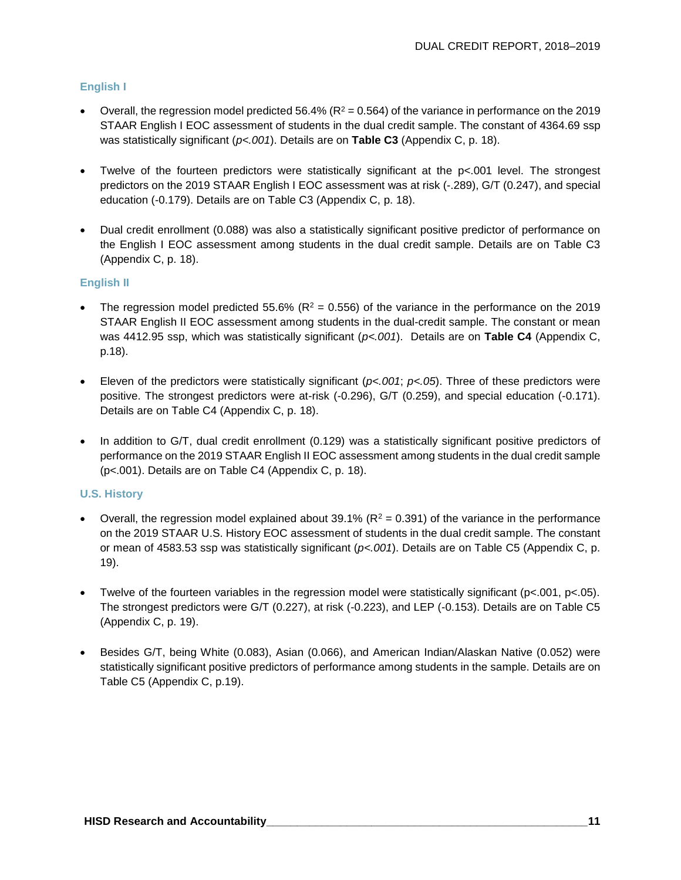#### **English I**

- Overall, the regression model predicted 56.4% ( $R^2$  = 0.564) of the variance in performance on the 2019 STAAR English I EOC assessment of students in the dual credit sample. The constant of 4364.69 ssp was statistically significant (*p<.001*). Details are on **Table C3** (Appendix C, p. 18).
- Twelve of the fourteen predictors were statistically significant at the p<.001 level. The strongest predictors on the 2019 STAAR English I EOC assessment was at risk (-.289), G/T (0.247), and special education (-0.179). Details are on Table C3 (Appendix C, p. 18).
- Dual credit enrollment (0.088) was also a statistically significant positive predictor of performance on the English I EOC assessment among students in the dual credit sample. Details are on Table C3 (Appendix C, p. 18).

#### **English II**

- The regression model predicted 55.6% ( $R^2 = 0.556$ ) of the variance in the performance on the 2019 STAAR English II EOC assessment among students in the dual-credit sample. The constant or mean was 4412.95 ssp, which was statistically significant (*p<.001*). Details are on **Table C4** (Appendix C, p.18).
- Eleven of the predictors were statistically significant (*p<.001*; *p<.05*). Three of these predictors were positive. The strongest predictors were at-risk (-0.296), G/T (0.259), and special education (-0.171). Details are on Table C4 (Appendix C, p. 18).
- In addition to G/T, dual credit enrollment (0.129) was a statistically significant positive predictors of performance on the 2019 STAAR English II EOC assessment among students in the dual credit sample (p<.001). Details are on Table C4 (Appendix C, p. 18).

#### **U.S. History**

- Overall, the regression model explained about 39.1% ( $R^2 = 0.391$ ) of the variance in the performance on the 2019 STAAR U.S. History EOC assessment of students in the dual credit sample. The constant or mean of 4583.53 ssp was statistically significant (*p<.001*). Details are on Table C5 (Appendix C, p. 19).
- Twelve of the fourteen variables in the regression model were statistically significant ( $p<.001$ ,  $p<.05$ ). The strongest predictors were G/T (0.227), at risk (-0.223), and LEP (-0.153). Details are on Table C5 (Appendix C, p. 19).
- Besides G/T, being White (0.083), Asian (0.066), and American Indian/Alaskan Native (0.052) were statistically significant positive predictors of performance among students in the sample. Details are on Table C5 (Appendix C, p.19).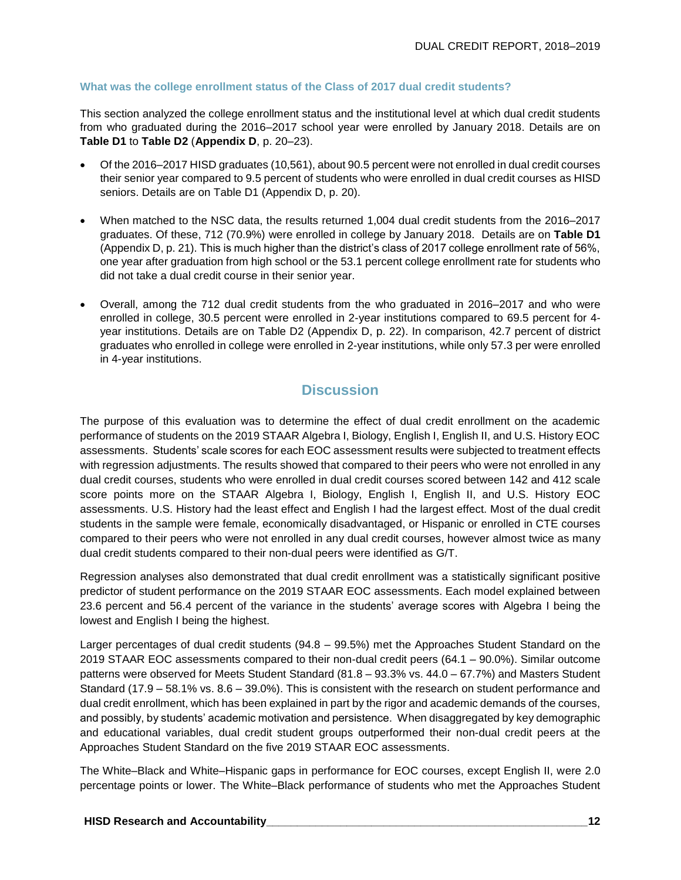#### **What was the college enrollment status of the Class of 2017 dual credit students?**

This section analyzed the college enrollment status and the institutional level at which dual credit students from who graduated during the 2016–2017 school year were enrolled by January 2018. Details are on **Table D1** to **Table D2** (**Appendix D**, p. 20–23).

- Of the 2016–2017 HISD graduates (10,561), about 90.5 percent were not enrolled in dual credit courses their senior year compared to 9.5 percent of students who were enrolled in dual credit courses as HISD seniors. Details are on Table D1 (Appendix D, p. 20).
- When matched to the NSC data, the results returned 1,004 dual credit students from the 2016–2017 graduates. Of these, 712 (70.9%) were enrolled in college by January 2018. Details are on **Table D1** (Appendix D, p. 21). This is much higher than the district's class of 2017 college enrollment rate of 56%, one year after graduation from high school or the 53.1 percent college enrollment rate for students who did not take a dual credit course in their senior year.
- Overall, among the 712 dual credit students from the who graduated in 2016–2017 and who were enrolled in college, 30.5 percent were enrolled in 2-year institutions compared to 69.5 percent for 4 year institutions. Details are on Table D2 (Appendix D, p. 22). In comparison, 42.7 percent of district graduates who enrolled in college were enrolled in 2-year institutions, while only 57.3 per were enrolled in 4-year institutions.

## **Discussion**

The purpose of this evaluation was to determine the effect of dual credit enrollment on the academic performance of students on the 2019 STAAR Algebra I, Biology, English I, English II, and U.S. History EOC assessments. Students' scale scores for each EOC assessment results were subjected to treatment effects with regression adjustments. The results showed that compared to their peers who were not enrolled in any dual credit courses, students who were enrolled in dual credit courses scored between 142 and 412 scale score points more on the STAAR Algebra I, Biology, English I, English II, and U.S. History EOC assessments. U.S. History had the least effect and English I had the largest effect. Most of the dual credit students in the sample were female, economically disadvantaged, or Hispanic or enrolled in CTE courses compared to their peers who were not enrolled in any dual credit courses, however almost twice as many dual credit students compared to their non-dual peers were identified as G/T.

Regression analyses also demonstrated that dual credit enrollment was a statistically significant positive predictor of student performance on the 2019 STAAR EOC assessments. Each model explained between 23.6 percent and 56.4 percent of the variance in the students' average scores with Algebra I being the lowest and English I being the highest.

Larger percentages of dual credit students (94.8 – 99.5%) met the Approaches Student Standard on the 2019 STAAR EOC assessments compared to their non-dual credit peers (64.1 – 90.0%). Similar outcome patterns were observed for Meets Student Standard (81.8 – 93.3% vs. 44.0 – 67.7%) and Masters Student Standard (17.9 – 58.1% vs. 8.6 – 39.0%). This is consistent with the research on student performance and dual credit enrollment, which has been explained in part by the rigor and academic demands of the courses, and possibly, by students' academic motivation and persistence. When disaggregated by key demographic and educational variables, dual credit student groups outperformed their non-dual credit peers at the Approaches Student Standard on the five 2019 STAAR EOC assessments.

The White–Black and White–Hispanic gaps in performance for EOC courses, except English II, were 2.0 percentage points or lower. The White–Black performance of students who met the Approaches Student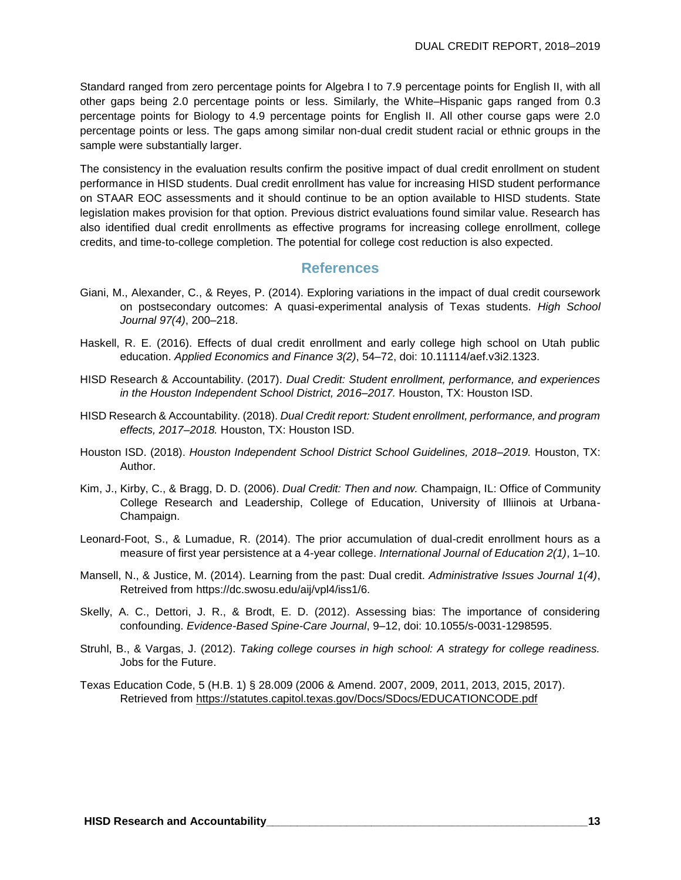Standard ranged from zero percentage points for Algebra I to 7.9 percentage points for English II, with all other gaps being 2.0 percentage points or less. Similarly, the White–Hispanic gaps ranged from 0.3 percentage points for Biology to 4.9 percentage points for English II. All other course gaps were 2.0 percentage points or less. The gaps among similar non-dual credit student racial or ethnic groups in the sample were substantially larger.

The consistency in the evaluation results confirm the positive impact of dual credit enrollment on student performance in HISD students. Dual credit enrollment has value for increasing HISD student performance on STAAR EOC assessments and it should continue to be an option available to HISD students. State legislation makes provision for that option. Previous district evaluations found similar value. Research has also identified dual credit enrollments as effective programs for increasing college enrollment, college credits, and time-to-college completion. The potential for college cost reduction is also expected.

#### **References**

- Giani, M., Alexander, C., & Reyes, P. (2014). Exploring variations in the impact of dual credit coursework on postsecondary outcomes: A quasi-experimental analysis of Texas students. *High School Journal 97(4)*, 200–218.
- Haskell, R. E. (2016). Effects of dual credit enrollment and early college high school on Utah public education. *Applied Economics and Finance 3(2)*, 54–72, doi: 10.11114/aef.v3i2.1323.
- HISD Research & Accountability. (2017). *Dual Credit: Student enrollment, performance, and experiences in the Houston Independent School District, 2016–2017.* Houston, TX: Houston ISD.
- HISD Research & Accountability. (2018). *Dual Credit report: Student enrollment, performance, and program effects, 2017–2018.* Houston, TX: Houston ISD.
- Houston ISD. (2018). *Houston Independent School District School Guidelines, 2018–2019.* Houston, TX: Author.
- Kim, J., Kirby, C., & Bragg, D. D. (2006). *Dual Credit: Then and now.* Champaign, IL: Office of Community College Research and Leadership, College of Education, University of Illiinois at Urbana-Champaign.
- Leonard-Foot, S., & Lumadue, R. (2014). The prior accumulation of dual-credit enrollment hours as a measure of first year persistence at a 4-year college. *International Journal of Education 2(1)*, 1–10.
- Mansell, N., & Justice, M. (2014). Learning from the past: Dual credit. *Administrative Issues Journal 1(4)*, Retreived from https://dc.swosu.edu/aij/vpl4/iss1/6.
- Skelly, A. C., Dettori, J. R., & Brodt, E. D. (2012). Assessing bias: The importance of considering confounding. *Evidence-Based Spine-Care Journal*, 9–12, doi: 10.1055/s-0031-1298595.
- Struhl, B., & Vargas, J. (2012). *Taking college courses in high school: A strategy for college readiness.* Jobs for the Future.
- Texas Education Code, 5 (H.B. 1) § 28.009 (2006 & Amend. 2007, 2009, 2011, 2013, 2015, 2017). Retrieved from<https://statutes.capitol.texas.gov/Docs/SDocs/EDUCATIONCODE.pdf>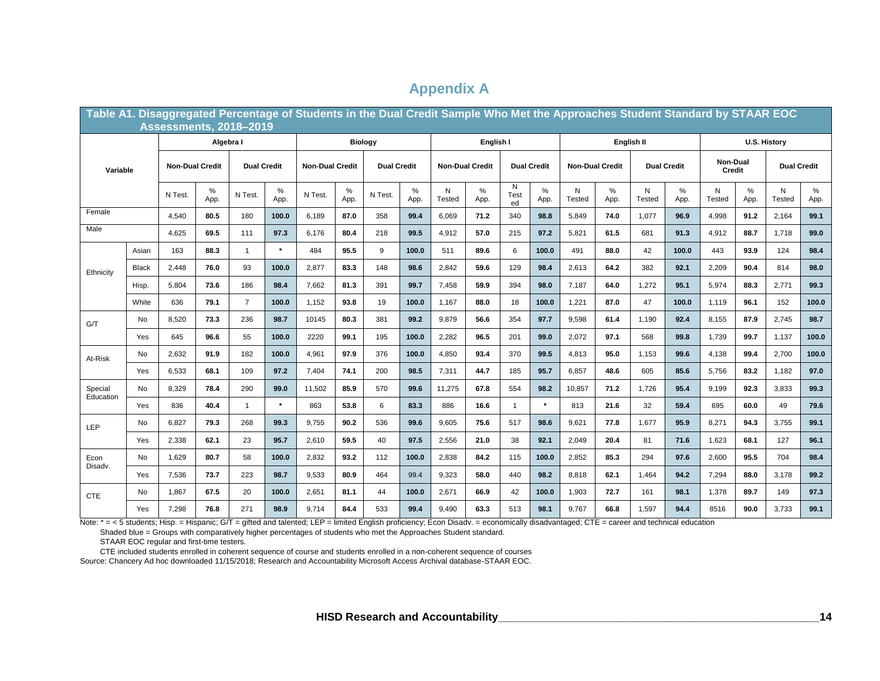|                      | Table A1. Disaggregated Percentage of Students in the Dual Credit Sample Who Met the Approaches Student Standard by STAAR EOC<br><b>Assessments, 2018-2019</b> |                        |              |                    |                |                        |              |                    |              |                        |            |                    |              |                        |              |                    |           |                    |              |                    |           |
|----------------------|----------------------------------------------------------------------------------------------------------------------------------------------------------------|------------------------|--------------|--------------------|----------------|------------------------|--------------|--------------------|--------------|------------------------|------------|--------------------|--------------|------------------------|--------------|--------------------|-----------|--------------------|--------------|--------------------|-----------|
|                      |                                                                                                                                                                |                        | Algebra I    |                    | <b>Biology</b> |                        |              | English I          |              |                        | English II |                    |              | U.S. History           |              |                    |           |                    |              |                    |           |
| Variable             |                                                                                                                                                                | <b>Non-Dual Credit</b> |              | <b>Dual Credit</b> |                | <b>Non-Dual Credit</b> |              | <b>Dual Credit</b> |              | <b>Non-Dual Credit</b> |            | <b>Dual Credit</b> |              | <b>Non-Dual Credit</b> |              | <b>Dual Credit</b> |           | Non-Dual<br>Credit |              | <b>Dual Credit</b> |           |
|                      |                                                                                                                                                                | N Test.                | $\%$<br>App. | N Test.            | $\%$<br>App.   | N Test.                | $\%$<br>App. | N Test.            | $\%$<br>App. | N<br>Tested            | %<br>App.  | N<br>Test<br>ed    | $\%$<br>App. | N<br>Tested            | $\%$<br>App. | N<br><b>Tested</b> | %<br>App. | N<br><b>Tested</b> | $\%$<br>App. | N<br><b>Tested</b> | %<br>App. |
| Female               |                                                                                                                                                                | 4,540                  | 80.5         | 180                | 100.0          | 6.189                  | 87.0         | 358                | 99.4         | 6,069                  | 71.2       | 340                | 98.8         | 5,849                  | 74.0         | 1,077              | 96.9      | 4,998              | 91.2         | 2,164              | 99.1      |
| Male                 |                                                                                                                                                                | 4,625                  | 69.5         | 111                | 97.3           | 6,176                  | 80.4         | 218                | 99.5         | 4,912                  | 57.0       | 215                | 97.2         | 5,821                  | 61.5         | 681                | 91.3      | 4,912              | 88.7         | 1,718              | 99.0      |
|                      | Asian                                                                                                                                                          | 163                    | 88.3         | $\overline{1}$     | $\star$        | 484                    | 95.5         | 9                  | 100.0        | 511                    | 89.6       | 6                  | 100.0        | 491                    | 88.0         | 42                 | 100.0     | 443                | 93.9         | 124                | 98.4      |
| Ethnicity            | Black                                                                                                                                                          | 2,448                  | 76.0         | 93                 | 100.0          | 2,877                  | 83.3         | 148                | 98.6         | 2,842                  | 59.6       | 129                | 98.4         | 2,613                  | 64.2         | 382                | 92.1      | 2,209              | 90.4         | 814                | 98.0      |
|                      | Hisp.                                                                                                                                                          | 5,804                  | 73.6         | 186                | 98.4           | 7,662                  | 81.3         | 391                | 99.7         | 7,458                  | 59.9       | 394                | 98.0         | 7,187                  | 64.0         | 1,272              | 95.1      | 5,974              | 88.3         | 2,771              | 99.3      |
|                      | White                                                                                                                                                          | 636                    | 79.1         | $\overline{7}$     | 100.0          | 1,152                  | 93.8         | 19                 | 100.0        | 1,167                  | 88.0       | 18                 | 100.0        | 1,221                  | 87.0         | 47                 | 100.0     | 1,119              | 96.1         | 152                | 100.0     |
| G/T                  | No                                                                                                                                                             | 8,520                  | 73.3         | 236                | 98.7           | 10145                  | 80.3         | 381                | 99.2         | 9,879                  | 56.6       | 354                | 97.7         | 9,598                  | 61.4         | 1,190              | 92.4      | 8,155              | 87.9         | 2,745              | 98.7      |
|                      | Yes                                                                                                                                                            | 645                    | 96.6         | 55                 | 100.0          | 2220                   | 99.1         | 195                | 100.0        | 2.282                  | 96.5       | 201                | 99.0         | 2,072                  | 97.1         | 568                | 99.8      | 1.739              | 99.7         | 1,137              | 100.0     |
| At-Risk              | No                                                                                                                                                             | 2,632                  | 91.9         | 182                | 100.0          | 4,961                  | 97.9         | 376                | 100.0        | 4,850                  | 93.4       | 370                | 99.5         | 4,813                  | 95.0         | 1,153              | 99.6      | 4,138              | 99.4         | 2,700              | 100.0     |
|                      | Yes                                                                                                                                                            | 6,533                  | 68.1         | 109                | 97.2           | 7,404                  | 74.1         | 200                | 98.5         | 7,311                  | 44.7       | 185                | 95.7         | 6,857                  | 48.6         | 605                | 85.6      | 5,756              | 83.2         | 1,182              | 97.0      |
| Special<br>Education | <b>No</b>                                                                                                                                                      | 8,329                  | 78.4         | 290                | 99.0           | 11,502                 | 85.9         | 570                | 99.6         | 11,275                 | 67.8       | 554                | 98.2         | 10,857                 | 71.2         | 1,726              | 95.4      | 9,199              | 92.3         | 3,833              | 99.3      |
|                      | Yes                                                                                                                                                            | 836                    | 40.4         | $\mathbf{1}$       | $\star$        | 863                    | 53.8         | 6                  | 83.3         | 886                    | 16.6       | $\mathbf{1}$       | $\star$      | 813                    | 21.6         | 32                 | 59.4      | 695                | 60.0         | 49                 | 79.6      |
| <b>LEP</b>           | No                                                                                                                                                             | 6,827                  | 79.3         | 268                | 99.3           | 9,755                  | 90.2         | 536                | 99.6         | 9,605                  | 75.6       | 517                | 98.6         | 9,621                  | 77.8         | 1,677              | 95.9      | 8,271              | 94.3         | 3,755              | 99.1      |
|                      | Yes                                                                                                                                                            | 2,338                  | 62.1         | 23                 | 95.7           | 2,610                  | 59.5         | 40                 | 97.5         | 2,556                  | 21.0       | 38                 | 92.1         | 2,049                  | 20.4         | 81                 | 71.6      | 1,623              | 68.1         | 127                | 96.1      |
| Econ<br>Disadv.      | <b>No</b>                                                                                                                                                      | 1.629                  | 80.7         | 58                 | 100.0          | 2.832                  | 93.2         | 112                | 100.0        | 2.838                  | 84.2       | 115                | 100.0        | 2,852                  | 85.3         | 294                | 97.6      | 2.600              | 95.5         | 704                | 98.4      |
|                      | Yes                                                                                                                                                            | 7,536                  | 73.7         | 223                | 98.7           | 9,533                  | 80.9         | 464                | 99.4         | 9,323                  | 58.0       | 440                | 98.2         | 8,818                  | 62.1         | 1,464              | 94.2      | 7,294              | 88.0         | 3,178              | 99.2      |
| <b>CTE</b>           | No                                                                                                                                                             | 1,867                  | 67.5         | 20                 | 100.0          | 2,651                  | 81.1         | 44                 | 100.0        | 2,671                  | 66.9       | 42                 | 100.0        | 1,903                  | 72.7         | 161                | 98.1      | 1,378              | 89.7         | 149                | 97.3      |
|                      | Yes                                                                                                                                                            | 7.298                  | 76.8         | 271                | 98.9           | 9,714                  | 84.4         | 533                | 99.4         | 9.490                  | 63.3       | 513                | 98.1         | 9,767                  | 66.8         | 1,597              | 94.4      | 8516               | 90.0         | 3,733              | 99.1      |

## **Appendix A**

Note: \* = < 5 students; Hisp. = Hispanic; G/T = gifted and talented; LEP = limited English proficiency; Econ Disadv. = economically disadvantaged; CTE = career and technical education

Shaded blue = Groups with comparatively higher percentages of students who met the Approaches Student standard.

STAAR EOC regular and first-time testers.

CTE included students enrolled in coherent sequence of course and students enrolled in a non-coherent sequence of courses

Source: Chancery Ad hoc downloaded 11/15/2018; Research and Accountability Microsoft Access Archival database-STAAR EOC.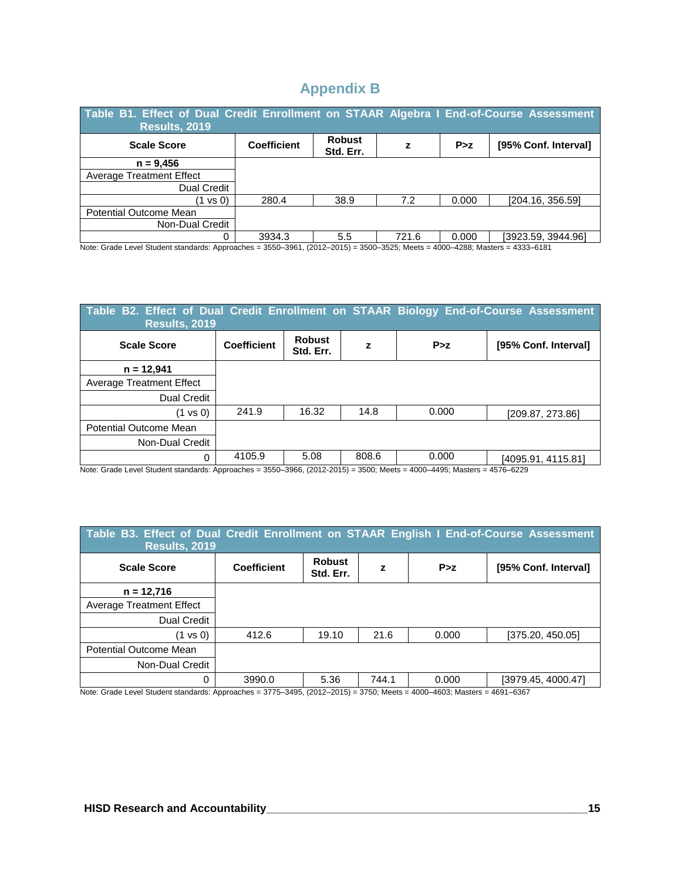## **Appendix B**

| Table B1. Effect of Dual Credit Enrollment on STAAR Algebra I End-of-Course Assessment<br><b>Results, 2019</b> |                    |                            |       |       |                      |  |  |  |  |  |
|----------------------------------------------------------------------------------------------------------------|--------------------|----------------------------|-------|-------|----------------------|--|--|--|--|--|
| <b>Scale Score</b>                                                                                             | <b>Coefficient</b> | <b>Robust</b><br>Std. Err. | z     | P > z | [95% Conf. Interval] |  |  |  |  |  |
| $n = 9,456$                                                                                                    |                    |                            |       |       |                      |  |  |  |  |  |
| <b>Average Treatment Effect</b>                                                                                |                    |                            |       |       |                      |  |  |  |  |  |
| <b>Dual Credit</b>                                                                                             |                    |                            |       |       |                      |  |  |  |  |  |
| (1 vs 0)                                                                                                       | 280.4              | 38.9                       | 7.2   | 0.000 | [204.16, 356.59]     |  |  |  |  |  |
| Potential Outcome Mean                                                                                         |                    |                            |       |       |                      |  |  |  |  |  |
| Non-Dual Credit                                                                                                |                    |                            |       |       |                      |  |  |  |  |  |
| 0                                                                                                              | 3934.3             | 5.5                        | 721.6 | 0.000 | [3923.59, 3944.96]   |  |  |  |  |  |

Note: Grade Level Student standards: Approaches = 3550–3961, (2012–2015) = 3500–3525; Meets = 4000–4288; Masters = 4333–6181

| Table B2. Effect of Dual Credit Enrollment on STAAR Biology End-of-Course Assessment<br><b>Results, 2019</b> |                    |                            |       |       |                      |  |  |  |
|--------------------------------------------------------------------------------------------------------------|--------------------|----------------------------|-------|-------|----------------------|--|--|--|
| <b>Scale Score</b>                                                                                           | <b>Coefficient</b> | <b>Robust</b><br>Std. Err. | z     | P > z | [95% Conf. Interval] |  |  |  |
| $n = 12,941$                                                                                                 |                    |                            |       |       |                      |  |  |  |
| <b>Average Treatment Effect</b>                                                                              |                    |                            |       |       |                      |  |  |  |
| Dual Credit                                                                                                  |                    |                            |       |       |                      |  |  |  |
| (1 vs 0)                                                                                                     | 241.9              | 16.32                      | 14.8  | 0.000 | [209.87, 273.86]     |  |  |  |
| Potential Outcome Mean                                                                                       |                    |                            |       |       |                      |  |  |  |
| Non-Dual Credit                                                                                              |                    |                            |       |       |                      |  |  |  |
| 0                                                                                                            | 4105.9             | 5.08                       | 808.6 | 0.000 | [4095.91, 4115.81]   |  |  |  |

Note: Grade Level Student standards: Approaches = 3550–3966, (2012-2015) = 3500; Meets = 4000–4495; Masters = 4576–6229

| Table B3. Effect of Dual Credit Enrollment on STAAR English I End-of-Course Assessment<br><b>Results, 2019</b> |                            |       |       |                                                                                                                             |  |  |  |  |  |
|----------------------------------------------------------------------------------------------------------------|----------------------------|-------|-------|-----------------------------------------------------------------------------------------------------------------------------|--|--|--|--|--|
| <b>Coefficient</b>                                                                                             | <b>Robust</b><br>Std. Err. | z     | P > z | [95% Conf. Interval]                                                                                                        |  |  |  |  |  |
|                                                                                                                |                            |       |       |                                                                                                                             |  |  |  |  |  |
|                                                                                                                |                            |       |       |                                                                                                                             |  |  |  |  |  |
|                                                                                                                |                            |       |       |                                                                                                                             |  |  |  |  |  |
| 412.6                                                                                                          | 19.10                      | 21.6  | 0.000 | [375.20, 450.05]                                                                                                            |  |  |  |  |  |
|                                                                                                                |                            |       |       |                                                                                                                             |  |  |  |  |  |
|                                                                                                                |                            |       |       |                                                                                                                             |  |  |  |  |  |
| 3990.0                                                                                                         | 5.36                       | 744.1 | 0.000 | [3979.45, 4000.47]                                                                                                          |  |  |  |  |  |
|                                                                                                                |                            |       |       | Note: Crade Lavel Student standarda: Annreaches - 2775, 2405, (2012, 2015) - 2750: Meets - 4000, 4602: Meetsre - 4601, 6267 |  |  |  |  |  |

Note: Grade Level Student standards: Approaches = 3775–3495, (2012–2015) = 3750; Meets = 4000–4603; Masters = 4691–6367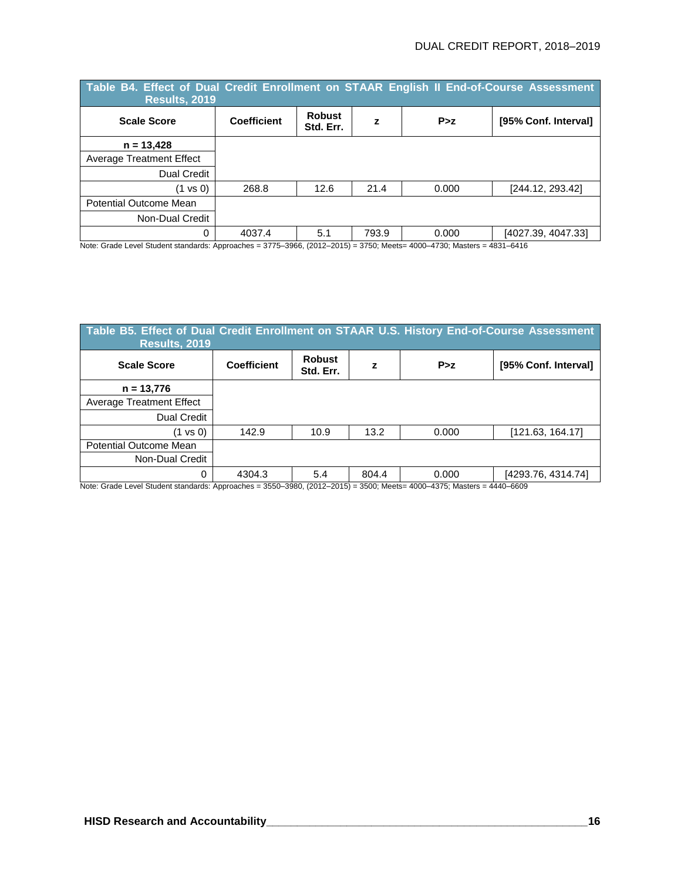| Table B4. Effect of Dual Credit Enrollment on STAAR English II End-of-Course Assessment<br><b>Results, 2019</b> |                    |                            |       |       |                      |  |  |  |  |  |
|-----------------------------------------------------------------------------------------------------------------|--------------------|----------------------------|-------|-------|----------------------|--|--|--|--|--|
| <b>Scale Score</b>                                                                                              | <b>Coefficient</b> | <b>Robust</b><br>Std. Err. | z     | P > z | [95% Conf. Interval] |  |  |  |  |  |
| $n = 13,428$                                                                                                    |                    |                            |       |       |                      |  |  |  |  |  |
| <b>Average Treatment Effect</b>                                                                                 |                    |                            |       |       |                      |  |  |  |  |  |
| Dual Credit                                                                                                     |                    |                            |       |       |                      |  |  |  |  |  |
| $(1 \text{ vs } 0)$                                                                                             | 268.8              | 12.6                       | 21.4  | 0.000 | [244.12, 293.42]     |  |  |  |  |  |
| Potential Outcome Mean                                                                                          |                    |                            |       |       |                      |  |  |  |  |  |
| Non-Dual Credit                                                                                                 |                    |                            |       |       |                      |  |  |  |  |  |
| 0                                                                                                               | 4037.4             | 5.1                        | 793.9 | 0.000 | [4027.39, 4047.33]   |  |  |  |  |  |

Note: Grade Level Student standards: Approaches = 3775–3966, (2012–2015) = 3750; Meets= 4000–4730; Masters = 4831–6416

| Table B5. Effect of Dual Credit Enrollment on STAAR U.S. History End-of-Course Assessment<br><b>Results, 2019</b> |             |                            |       |       |                      |  |  |  |  |  |
|-------------------------------------------------------------------------------------------------------------------|-------------|----------------------------|-------|-------|----------------------|--|--|--|--|--|
| <b>Scale Score</b>                                                                                                | Coefficient | <b>Robust</b><br>Std. Err. | z     | P > z | [95% Conf. Interval] |  |  |  |  |  |
| $n = 13,776$                                                                                                      |             |                            |       |       |                      |  |  |  |  |  |
| <b>Average Treatment Effect</b>                                                                                   |             |                            |       |       |                      |  |  |  |  |  |
| <b>Dual Credit</b>                                                                                                |             |                            |       |       |                      |  |  |  |  |  |
| (1 vs 0)                                                                                                          | 142.9       | 10.9                       | 13.2  | 0.000 | [121.63, 164.17]     |  |  |  |  |  |
| Potential Outcome Mean                                                                                            |             |                            |       |       |                      |  |  |  |  |  |
| Non-Dual Credit                                                                                                   |             |                            |       |       |                      |  |  |  |  |  |
| 0                                                                                                                 | 4304.3      | 5.4                        | 804.4 | 0.000 | [4293.76, 4314.74]   |  |  |  |  |  |

Note: Grade Level Student standards: Approaches = 3550–3980, (2012–2015) = 3500; Meets= 4000–4375; Masters = 4440–6609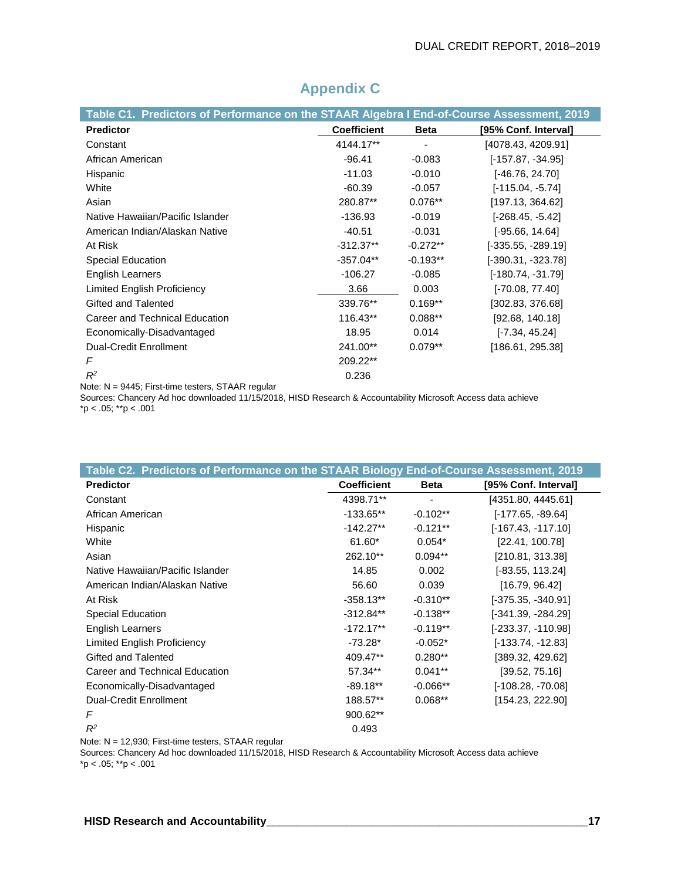| Table C1. Predictors of Performance on the STAAR Algebra I End-of-Course Assessment, 2019 |                    |             |                      |
|-------------------------------------------------------------------------------------------|--------------------|-------------|----------------------|
| <b>Predictor</b>                                                                          | <b>Coefficient</b> | <b>Beta</b> | [95% Conf. Interval] |
| Constant                                                                                  | 4144.17**          | ٠           | [4078.43, 4209.91]   |
| African American                                                                          | $-96.41$           | $-0.083$    | $[-157.87, -34.95]$  |
| Hispanic                                                                                  | $-11.03$           | $-0.010$    | [-46.76, 24.70]      |
| White                                                                                     | $-60.39$           | $-0.057$    | $[-115.04, -5.74]$   |
| Asian                                                                                     | 280.87**           | $0.076**$   | [197.13, 364.62]     |
| Native Hawaiian/Pacific Islander                                                          | $-136.93$          | $-0.019$    | [-268.45, -5.42]     |
| American Indian/Alaskan Native                                                            | $-40.51$           | $-0.031$    | $[-95.66, 14.64]$    |
| At Risk                                                                                   | $-312.37**$        | $-0.272**$  | $[-335.55, -289.19]$ |
| Special Education                                                                         | $-357.04**$        | $-0.193**$  | $[-390.31, -323.78]$ |
| <b>English Learners</b>                                                                   | $-106.27$          | $-0.085$    | $[-180.74, -31.79]$  |
| Limited English Proficiency                                                               | 3.66               | 0.003       | $[-70.08, 77.40]$    |
| Gifted and Talented                                                                       | 339.76**           | $0.169**$   | [302.83, 376.68]     |
| Career and Technical Education                                                            | 116.43**           | $0.088**$   | [92.68, 140.18]      |
| Economically-Disadvantaged                                                                | 18.95              | 0.014       | $[-7.34, 45.24]$     |
| <b>Dual-Credit Enrollment</b>                                                             | 241.00**           | $0.079**$   | [186.61, 295.38]     |
| F                                                                                         | 209.22**           |             |                      |
| $R^2$                                                                                     | 0.236              |             |                      |

## **Appendix C**

Note: N = 9445; First-time testers, STAAR regular

Sources: Chancery Ad hoc downloaded 11/15/2018, HISD Research & Accountability Microsoft Access data achieve  $*p < .05; **p < .001$ 

| Table C2. Predictors of Performance on the STAAR Biology End-of-Course Assessment, 2019 |                    |             |                      |
|-----------------------------------------------------------------------------------------|--------------------|-------------|----------------------|
| <b>Predictor</b>                                                                        | <b>Coefficient</b> | <b>Beta</b> | [95% Conf. Interval] |
| Constant                                                                                | 4398.71**          |             | [4351.80, 4445.61]   |
| African American                                                                        | $-133.65***$       | $-0.102**$  | $[-177.65, -89.64]$  |
| Hispanic                                                                                | $-142.27**$        | $-0.121**$  | $[-167.43, -117.10]$ |
| White                                                                                   | 61.60*             | $0.054*$    | [22.41, 100.78]      |
| Asian                                                                                   | 262.10**           | $0.094**$   | [210.81, 313.38]     |
| Native Hawaiian/Pacific Islander                                                        | 14.85              | 0.002       | $[-83.55, 113.24]$   |
| American Indian/Alaskan Native                                                          | 56.60              | 0.039       | [16.79, 96.42]       |
| At Risk                                                                                 | $-358.13**$        | $-0.310**$  | $[-375.35, -340.91]$ |
| Special Education                                                                       | $-312.84**$        | $-0.138**$  | [-341.39, -284.29]   |
| <b>English Learners</b>                                                                 | $-172.17**$        | $-0.119**$  | [-233.37, -110.98]   |
| <b>Limited English Proficiency</b>                                                      | $-73.28*$          | $-0.052*$   | $[-133.74, -12.83]$  |
| Gifted and Talented                                                                     | 409.47**           | $0.280**$   | [389.32, 429.62]     |
| Career and Technical Education                                                          | 57.34**            | $0.041**$   | [39.52, 75.16]       |
| Economically-Disadvantaged                                                              | $-89.18**$         | $-0.066**$  | $[-108.28, -70.08]$  |
| <b>Dual-Credit Enrollment</b>                                                           | 188.57**           | $0.068**$   | [154.23, 222.90]     |
| F                                                                                       | 900.62**           |             |                      |
| $R^2$                                                                                   | 0.493              |             |                      |

Note: N = 12,930; First-time testers, STAAR regular

Sources: Chancery Ad hoc downloaded 11/15/2018, HISD Research & Accountability Microsoft Access data achieve  $*p < .05; **p < .001$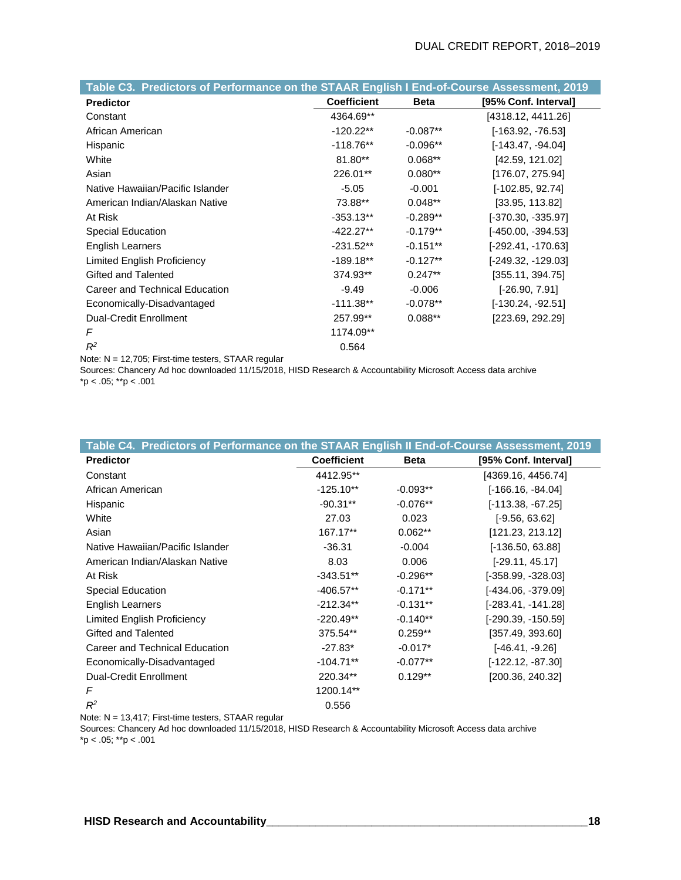| Table C3. Predictors of Performance on the STAAR English I End-of-Course Assessment, 2019 |                    |             |                      |
|-------------------------------------------------------------------------------------------|--------------------|-------------|----------------------|
| <b>Predictor</b>                                                                          | <b>Coefficient</b> | <b>Beta</b> | [95% Conf. Interval] |
| Constant                                                                                  | 4364.69**          |             | [4318.12, 4411.26]   |
| African American                                                                          | $-120.22**$        | $-0.087**$  | $[-163.92, -76.53]$  |
| Hispanic                                                                                  | $-118.76**$        | $-0.096**$  | $[-143.47, -94.04]$  |
| White                                                                                     | $81.80**$          | $0.068**$   | [42.59, 121.02]      |
| Asian                                                                                     | 226.01**           | $0.080**$   | [176.07, 275.94]     |
| Native Hawaiian/Pacific Islander                                                          | $-5.05$            | $-0.001$    | $[-102.85, 92.74]$   |
| American Indian/Alaskan Native                                                            | 73.88**            | $0.048**$   | [33.95, 113.82]      |
| At Risk                                                                                   | $-353.13**$        | $-0.289**$  | $[-370.30, -335.97]$ |
| Special Education                                                                         | -422.27**          | $-0.179**$  | $[-450.00, -394.53]$ |
| English Learners                                                                          | $-231.52**$        | $-0.151**$  | $[-292.41, -170.63]$ |
| Limited English Proficiency                                                               | $-189.18***$       | $-0.127**$  | $[-249.32, -129.03]$ |
| Gifted and Talented                                                                       | 374.93**           | $0.247**$   | [355.11, 394.75]     |
| Career and Technical Education                                                            | $-9.49$            | $-0.006$    | $[-26.90, 7.91]$     |
| Economically-Disadvantaged                                                                | $-111.38**$        | $-0.078**$  | $[-130.24, -92.51]$  |
| <b>Dual-Credit Enrollment</b>                                                             | 257.99**           | $0.088**$   | [223.69, 292.29]     |
| F                                                                                         | 1174.09**          |             |                      |
| $R^2$                                                                                     | 0.564              |             |                      |

Note: N = 12,705; First-time testers, STAAR regular

Sources: Chancery Ad hoc downloaded 11/15/2018, HISD Research & Accountability Microsoft Access data archive \*p < .05; \*\*p < .001

| Table C4. Predictors of Performance on the STAAR English II End-of-Course Assessment, 2019 |                    |             |                      |
|--------------------------------------------------------------------------------------------|--------------------|-------------|----------------------|
| <b>Predictor</b>                                                                           | <b>Coefficient</b> | <b>Beta</b> | [95% Conf. Interval] |
| Constant                                                                                   | 4412.95**          |             | [4369.16, 4456.74]   |
| African American                                                                           | $-125.10**$        | $-0.093**$  | $[-166.16, -84.04]$  |
| Hispanic                                                                                   | $-90.31**$         | $-0.076**$  | $[-113.38, -67.25]$  |
| White                                                                                      | 27.03              | 0.023       | $[-9.56, 63.62]$     |
| Asian                                                                                      | 167.17**           | $0.062**$   | [121.23, 213.12]     |
| Native Hawaiian/Pacific Islander                                                           | $-36.31$           | $-0.004$    | $[-136.50, 63.88]$   |
| American Indian/Alaskan Native                                                             | 8.03               | 0.006       | $[-29.11, 45.17]$    |
| At Risk                                                                                    | $-343.51**$        | $-0.296**$  | $[-358.99, -328.03]$ |
| Special Education                                                                          | $-406.57**$        | $-0.171**$  | $[-434.06, -379.09]$ |
| English Learners                                                                           | $-212.34**$        | $-0.131**$  | $[-283.41, -141.28]$ |
| Limited English Proficiency                                                                | $-220.49**$        | $-0.140**$  | $[-290.39, -150.59]$ |
| Gifted and Talented                                                                        | 375.54**           | $0.259**$   | [357.49, 393.60]     |
| Career and Technical Education                                                             | $-27.83*$          | $-0.017*$   | $[-46.41, -9.26]$    |
| Economically-Disadvantaged                                                                 | $-104.71**$        | $-0.077**$  | $[-122.12, -87.30]$  |
| Dual-Credit Enrollment                                                                     | 220.34**           | $0.129**$   | [200.36, 240.32]     |
| F                                                                                          | 1200.14**          |             |                      |
| $R^2$                                                                                      | 0.556              |             |                      |

Note: N = 13,417; First-time testers, STAAR regular

Sources: Chancery Ad hoc downloaded 11/15/2018, HISD Research & Accountability Microsoft Access data archive  $*p < .05; **p < .001$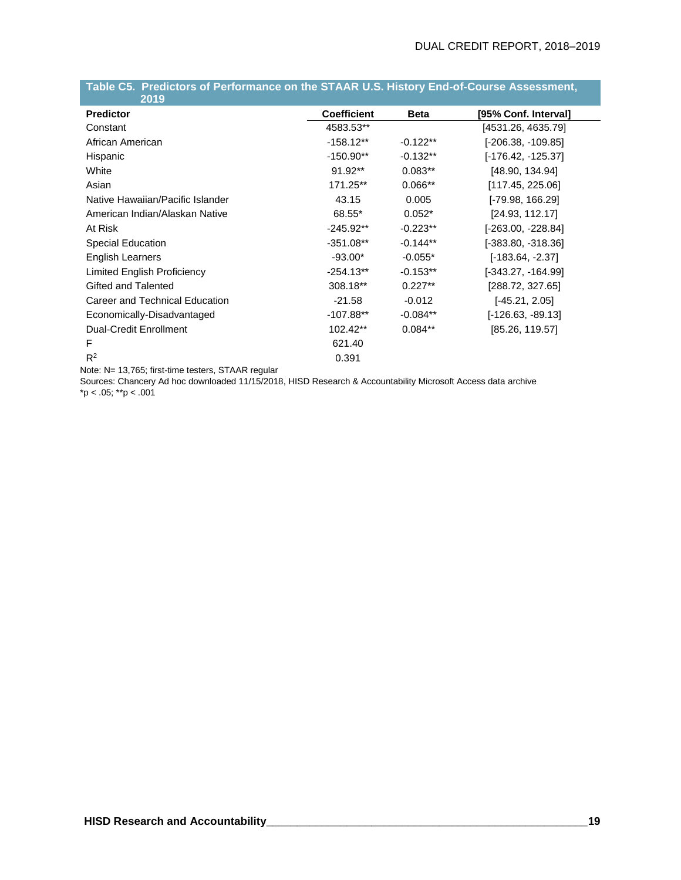| 2019                             |                    |             |                      |
|----------------------------------|--------------------|-------------|----------------------|
| <b>Predictor</b>                 | <b>Coefficient</b> | <b>Beta</b> | [95% Conf. Interval] |
| Constant                         | 4583.53**          |             | [4531.26, 4635.79]   |
| African American                 | $-158.12**$        | $-0.122**$  | [-206.38, -109.85]   |
| Hispanic                         | $-150.90**$        | $-0.132**$  | [-176.42, -125.37]   |
| White                            | $91.92**$          | $0.083**$   | [48.90, 134.94]      |
| Asian                            | 171.25**           | $0.066**$   | [117.45, 225.06]     |
| Native Hawaiian/Pacific Islander | 43.15              | 0.005       | $[-79.98, 166.29]$   |
| American Indian/Alaskan Native   | 68.55*             | $0.052*$    | [24.93, 112.17]      |
| At Risk                          | $-245.92**$        | $-0.223**$  | $[-263.00, -228.84]$ |
| <b>Special Education</b>         | $-351.08***$       | $-0.144**$  | $[-383.80, -318.36]$ |
| English Learners                 | $-93.00*$          | $-0.055*$   | [-183.64, -2.37]     |
| Limited English Proficiency      | $-254.13**$        | $-0.153**$  | $[-343.27, -164.99]$ |
| Gifted and Talented              | 308.18**           | $0.227**$   | [288.72, 327.65]     |
| Career and Technical Education   | $-21.58$           | $-0.012$    | $[-45.21, 2.05]$     |
| Economically-Disadvantaged       | $-107.88**$        | $-0.084**$  | $[-126.63, -89.13]$  |
| <b>Dual-Credit Enrollment</b>    | $102.42**$         | $0.084**$   | [85.26, 119.57]      |
| F                                | 621.40             |             |                      |
| $R^2$<br>$- - - - -$             | 0.391              |             |                      |

## **Table C5. Predictors of Performance on the STAAR U.S. History End-of-Course Assessment,**

Note: N= 13,765; first-time testers, STAAR regular

Sources: Chancery Ad hoc downloaded 11/15/2018, HISD Research & Accountability Microsoft Access data archive  $*p < .05; **p < .001$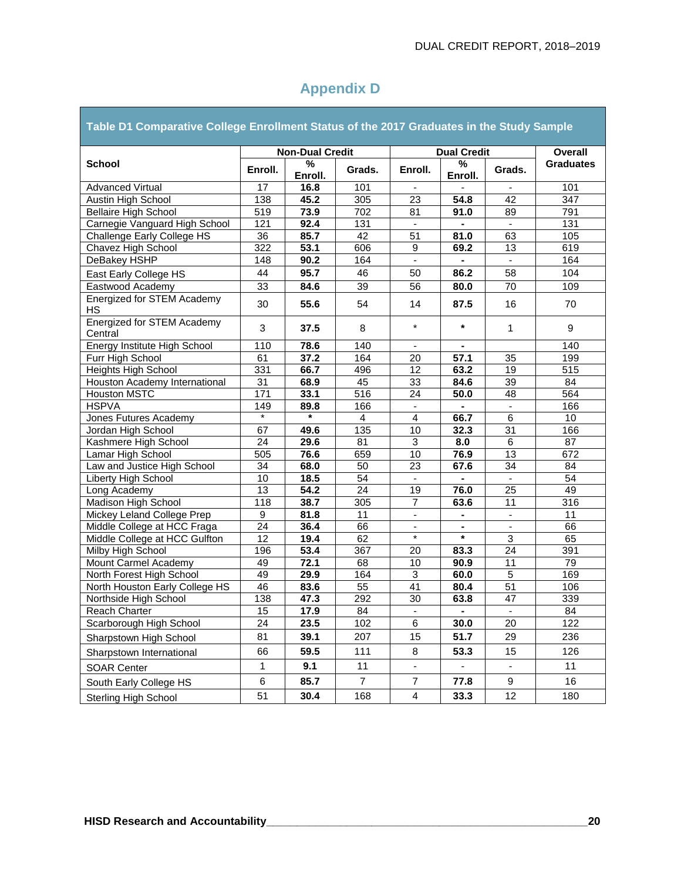and the company of the company of the company of the company of the company of the company of the company of the company of the company of the company of the company of the company of the company of the company of the comp

| Table D1 Comparative College Enrollment Status of the 2017 Graduates in the Study Sample |         |                        |                |                          |                |                             |                  |  |  |
|------------------------------------------------------------------------------------------|---------|------------------------|----------------|--------------------------|----------------|-----------------------------|------------------|--|--|
|                                                                                          |         | <b>Non-Dual Credit</b> |                | <b>Dual Credit</b>       | Overall        |                             |                  |  |  |
| <b>School</b>                                                                            | Enroll. | %<br>Enroll.           | Grads.         | Enroll.                  | %<br>Enroll.   | Grads.                      | <b>Graduates</b> |  |  |
| Advanced Virtual                                                                         | 17      | 16.8                   | 101            |                          |                |                             | 101              |  |  |
| Austin High School                                                                       | 138     | 45.2                   | 305            | 23                       | 54.8           | 42                          | 347              |  |  |
| <b>Bellaire High School</b>                                                              | 519     | 73.9                   | 702            | 81                       | 91.0           | 89                          | 791              |  |  |
| Carnegie Vanguard High School                                                            | 121     | 92.4                   | 131            | $\blacksquare$           | ÷,             | $\blacksquare$              | 131              |  |  |
| Challenge Early College HS                                                               | 36      | 85.7                   | 42             | 51                       | 81.0           | 63                          | 105              |  |  |
| Chavez High School                                                                       | 322     | 53.1                   | 606            | 9                        | 69.2           | 13                          | 619              |  |  |
| DeBakey HSHP                                                                             | 148     | 90.2                   | 164            |                          |                | $\blacksquare$              | 164              |  |  |
| East Early College HS                                                                    | 44      | 95.7                   | 46             | 50                       | 86.2           | 58                          | 104              |  |  |
| Eastwood Academy                                                                         | 33      | 84.6                   | 39             | 56                       | 80.0           | 70                          | 109              |  |  |
| Energized for STEM Academy<br>HS                                                         | 30      | 55.6                   | 54             | 14                       | 87.5           | 16                          | 70               |  |  |
| <b>Energized for STEM Academy</b><br>Central                                             | 3       | 37.5                   | 8              | $\star$                  | $\star$        | 1                           | 9                |  |  |
| Energy Institute High School                                                             | 110     | 78.6                   | 140            | $\blacksquare$           |                |                             | 140              |  |  |
| Furr High School                                                                         | 61      | 37.2                   | 164            | 20                       | 57.1           | 35                          | 199              |  |  |
| <b>Heights High School</b>                                                               | 331     | 66.7                   | 496            | 12                       | 63.2           | 19                          | 515              |  |  |
| Houston Academy International                                                            | 31      | 68.9                   | 45             | 33                       | 84.6           | 39                          | 84               |  |  |
| <b>Houston MSTC</b>                                                                      | 171     | 33.1                   | 516            | $\overline{24}$          | 50.0           | 48                          | 564              |  |  |
| <b>HSPVA</b>                                                                             | 149     | 89.8                   | 166            |                          |                |                             | 166              |  |  |
| Jones Futures Academy                                                                    | $\star$ | $\star$                | $\overline{4}$ | $\overline{4}$           | 66.7           | 6                           | 10               |  |  |
| Jordan High School                                                                       | 67      | 49.6                   | 135            | 10                       | 32.3           | 31                          | 166              |  |  |
| Kashmere High School                                                                     | 24      | 29.6                   | 81             | 3                        | 8.0            | 6                           | 87               |  |  |
| Lamar High School                                                                        | 505     | 76.6                   | 659            | 10                       | 76.9           | 13                          | 672              |  |  |
| Law and Justice High School                                                              | 34      | 68.0                   | 50             | 23                       | 67.6           | 34                          | 84               |  |  |
| <b>Liberty High School</b>                                                               | 10      | 18.5                   | 54             | $\omega$                 | $\blacksquare$ | $\mathcal{L}^{\mathcal{L}}$ | 54               |  |  |
| Long Academy                                                                             | 13      | 54.2                   | 24             | 19                       | 76.0           | 25                          | 49               |  |  |
| Madison High School                                                                      | 118     | 38.7                   | 305            | $\overline{7}$           | 63.6           | 11                          | 316              |  |  |
| Mickey Leland College Prep                                                               | 9       | 81.8                   | 11             | $\overline{\phantom{a}}$ | $\blacksquare$ | $\blacksquare$              | 11               |  |  |
| Middle College at HCC Fraga                                                              | 24      | 36.4                   | 66             |                          |                |                             | 66               |  |  |
| Middle College at HCC Gulfton                                                            | 12      | 19.4                   | 62             | $\star$                  | $\star$        | 3                           | 65               |  |  |
| Milby High School                                                                        | 196     | 53.4                   | 367            | 20                       | 83.3           | 24                          | 391              |  |  |
| Mount Carmel Academy                                                                     | 49      | 72.1                   | 68             | 10                       | 90.9           | 11                          | 79               |  |  |
| North Forest High School                                                                 | 49      | 29.9                   | 164            | $\overline{3}$           | 60.0           | $\overline{5}$              | 169              |  |  |
| North Houston Early College HS                                                           | 46      | 83.6                   | 55             | 41                       | 80.4           | 51                          | 106              |  |  |
| Northside High School                                                                    | 138     | 47.3                   | 292            | 30                       | 63.8           | 47                          | 339              |  |  |
| Reach Charter                                                                            | 15      | 17.9                   | 84             | $\blacksquare$           |                | $\sim$                      | 84               |  |  |
| Scarborough High School                                                                  | 24      | 23.5                   | 102            | 6                        | 30.0           | 20                          | 122              |  |  |
| Sharpstown High School                                                                   | 81      | 39.1                   | 207            | 15                       | 51.7           | 29                          | 236              |  |  |
| Sharpstown International                                                                 | 66      | 59.5                   | 111            | 8                        | 53.3           | 15                          | 126              |  |  |
| <b>SOAR Center</b>                                                                       | 1       | 9.1                    | 11             |                          |                | $\blacksquare$              | 11               |  |  |
| South Early College HS                                                                   | 6       | 85.7                   | $\overline{7}$ | $\boldsymbol{7}$         | 77.8           | 9                           | 16               |  |  |
| <b>Sterling High School</b>                                                              | 51      | 30.4                   | 168            | $\overline{4}$           | 33.3           | 12                          | 180              |  |  |

## **Appendix D**

÷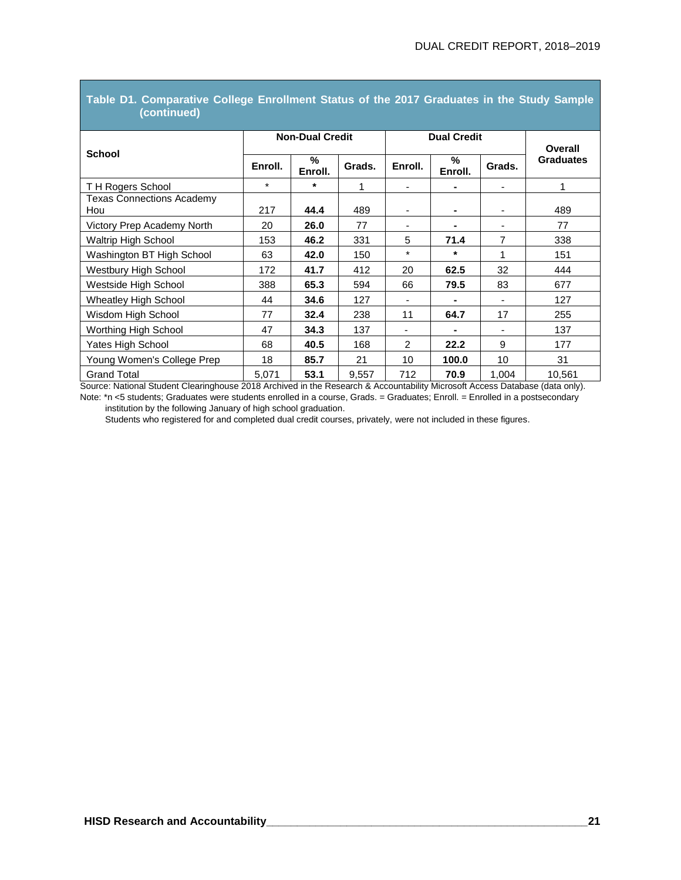| <b>School</b>                           | <b>Non-Dual Credit</b> |              |        | <b>Dual Credit</b> |              |                | Overall          |
|-----------------------------------------|------------------------|--------------|--------|--------------------|--------------|----------------|------------------|
|                                         |                        |              |        |                    |              |                |                  |
|                                         | Enroll.                | %<br>Enroll. | Grads. | Enroll.            | %<br>Enroll. | Grads.         | <b>Graduates</b> |
| TH Rogers School                        | $\star$                | $\star$      | 1      | ٠                  |              | $\overline{a}$ | 1                |
| <b>Texas Connections Academy</b><br>Hou | 217                    | 44.4         | 489    |                    |              |                | 489              |
| Victory Prep Academy North              | 20                     | 26.0         | 77     | ٠                  |              | ۰              | 77               |
| <b>Waltrip High School</b>              | 153                    | 46.2         | 331    | 5                  | 71.4         | 7              | 338              |
| Washington BT High School               | 63                     | 42.0         | 150    | $\star$            | $\star$      | 1              | 151              |
| Westbury High School                    | 172                    | 41.7         | 412    | 20                 | 62.5         | 32             | 444              |
| Westside High School                    | 388                    | 65.3         | 594    | 66                 | 79.5         | 83             | 677              |
| Wheatley High School                    | 44                     | 34.6         | 127    | ٠                  |              |                | 127              |
| Wisdom High School                      | 77                     | 32.4         | 238    | 11                 | 64.7         | 17             | 255              |
| Worthing High School                    | 47                     | 34.3         | 137    | ٠                  |              |                | 137              |
| Yates High School                       | 68                     | 40.5         | 168    | $\mathcal{P}$      | 22.2         | 9              | 177              |
| Young Women's College Prep              | 18                     | 85.7         | 21     | 10                 | 100.0        | 10             | 31               |
| <b>Grand Total</b>                      | 5,071                  | 53.1         | 9,557  | 712                | 70.9         | 1,004          | 10,561           |

#### **Table D1. Comparative College Enrollment Status of the 2017 Graduates in the Study Sample (continued)**

Source: National Student Clearinghouse 2018 Archived in the Research & Accountability Microsoft Access Database (data only). Note: \*n <5 students; Graduates were students enrolled in a course, Grads. = Graduates; Enroll. = Enrolled in a postsecondary

institution by the following January of high school graduation.

Students who registered for and completed dual credit courses, privately, were not included in these figures.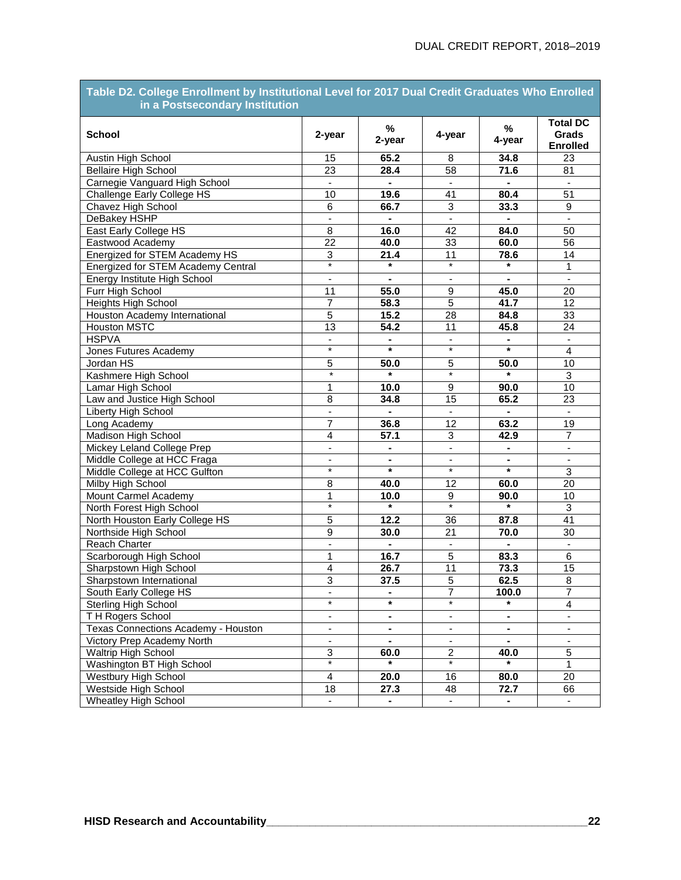#### **Table D2. College Enrollment by Institutional Level for 2017 Dual Credit Graduates Who Enrolled in a Postsecondary Institution**

| <b>School</b>                       | 2-year                   | $\%$<br>2-year           | 4-year                   | $\%$<br>4-year     | <b>Total DC</b><br>Grads<br><b>Enrolled</b> |
|-------------------------------------|--------------------------|--------------------------|--------------------------|--------------------|---------------------------------------------|
| Austin High School                  | 15                       | 65.2                     | 8                        | 34.8               | 23                                          |
| <b>Bellaire High School</b>         | 23                       | 28.4                     | 58                       | 71.6               | 81                                          |
| Carnegie Vanguard High School       | $\blacksquare$           | $\blacksquare$           | $\blacksquare$           | $\blacksquare$     | $\blacksquare$                              |
| Challenge Early College HS          | 10                       | 19.6                     | 41                       | 80.4               | 51                                          |
| Chavez High School                  | $\overline{6}$           | 66.7                     | $\overline{3}$           | 33.3               | $\boldsymbol{9}$                            |
| DeBakey HSHP                        | $\blacksquare$           | $\overline{\phantom{0}}$ | $\overline{\phantom{a}}$ | $\blacksquare$     | $\blacksquare$                              |
| East Early College HS               | $\overline{8}$           | 16.0                     | 42                       | 84.0               | 50                                          |
| Eastwood Academy                    | $\overline{22}$          | 40.0                     | 33                       | 60.0               | 56                                          |
| Energized for STEM Academy HS       | 3                        | 21.4                     | $\overline{11}$          | 78.6               | 14                                          |
| Energized for STEM Academy Central  | $\star$                  | $\star$                  | $\star$                  | $\star$            | $\mathbf{1}$                                |
| Energy Institute High School        | $\blacksquare$           | $\blacksquare$           | $\blacksquare$           | $\blacksquare$     | $\blacksquare$                              |
| Furr High School                    | 11                       | 55.0                     | 9                        | 45.0               | 20                                          |
| Heights High School                 | $\overline{7}$           | 58.3                     | $\overline{5}$           | 41.7               | 12                                          |
| Houston Academy International       | $\overline{5}$           | 15.2                     | $\overline{28}$          | 84.8               | 33                                          |
| <b>Houston MSTC</b>                 | $\overline{13}$          | 54.2                     | 11                       | 45.8               | 24                                          |
| <b>HSPVA</b>                        | $\overline{\phantom{a}}$ | $\blacksquare$           | $\blacksquare$           |                    | $\blacksquare$                              |
| Jones Futures Academy               | $\overline{\ast}$        | $\star$                  | $\star$                  | $\star$            | $\overline{\mathbf{4}}$                     |
| Jordan HS                           | 5                        | 50.0                     | $\overline{5}$           | 50.0               | 10                                          |
| Kashmere High School                | $\star$                  | $\star$                  | $\star$                  | $\star$            | 3                                           |
| Lamar High School                   | $\mathbf{1}$             | 10.0                     | 9                        | 90.0               | 10                                          |
| Law and Justice High School         | 8                        | 34.8                     | 15                       | 65.2               | 23                                          |
| Liberty High School                 | $\overline{\phantom{a}}$ |                          |                          |                    |                                             |
| Long Academy                        | 7                        | 36.8                     | 12                       | 63.2               | 19                                          |
| Madison High School                 | $\overline{4}$           | 57.1                     | $\overline{3}$           | 42.9               | $\overline{7}$                              |
| Mickey Leland College Prep          | $\overline{\phantom{a}}$ |                          | $\overline{a}$           |                    | $\overline{\phantom{a}}$                    |
| Middle College at HCC Fraga         | $\blacksquare$           | ٠                        | $\blacksquare$           | $\blacksquare$     | $\blacksquare$                              |
| Middle College at HCC Gulfton       | $\star$                  | $\star$                  | $\star$                  | $\star$            | $\mathbf{3}$                                |
| Milby High School                   | 8                        | 40.0                     | 12                       | 60.0               | 20                                          |
| Mount Carmel Academy                | 1                        | 10.0                     | 9                        | 90.0               | 10                                          |
| North Forest High School            | $\star$                  | $\star$                  | $\star$                  | $\star$            | 3                                           |
| North Houston Early College HS      | 5                        | 12.2                     | 36                       | 87.8               | 41                                          |
| Northside High School               | 9                        | 30.0                     | 21                       | 70.0               | 30                                          |
| <b>Reach Charter</b>                |                          |                          |                          | $\blacksquare$     |                                             |
| Scarborough High School             | $\mathbf 1$              | 16.7                     | $\overline{5}$           | 83.3               | $\,6$                                       |
| Sharpstown High School              | $\overline{4}$           | 26.7                     | $\overline{11}$          | 73.3               | 15                                          |
| Sharpstown International            | $\mathbf{3}$             | 37.5                     | $\overline{5}$           | 62.5               | 8                                           |
| South Early College HS              | $\blacksquare$           | $\blacksquare$           | $\overline{7}$           | $\overline{100.0}$ | $\overline{7}$                              |
| <b>Sterling High School</b>         | $\star$                  | $\star$                  | $\star$                  | $\star$            | $\overline{\mathbf{4}}$                     |
| TH Rogers School                    | $\overline{\phantom{a}}$ | $\blacksquare$           | $\overline{\phantom{a}}$ | $\blacksquare$     | $\overline{\phantom{a}}$                    |
| Texas Connections Academy - Houston | $\blacksquare$           |                          | $\blacksquare$           |                    | $\qquad \qquad \blacksquare$                |
| Victory Prep Academy North          | $\blacksquare$           | $\blacksquare$           | ÷,                       | $\blacksquare$     | $\qquad \qquad \blacksquare$                |
| Waltrip High School                 | $\overline{3}$           | 60.0                     | $\overline{c}$           | 40.0               | 5                                           |
| Washington BT High School           | $\star$                  | $\star$                  | $\star$                  | $\star$            | 1                                           |
| Westbury High School                | 4                        | 20.0                     | 16                       | 80.0               | 20                                          |
| Westside High School                | 18                       | 27.3                     | 48                       | 72.7               | 66                                          |
| Wheatley High School                | $\blacksquare$           |                          |                          |                    |                                             |
|                                     |                          |                          |                          |                    |                                             |